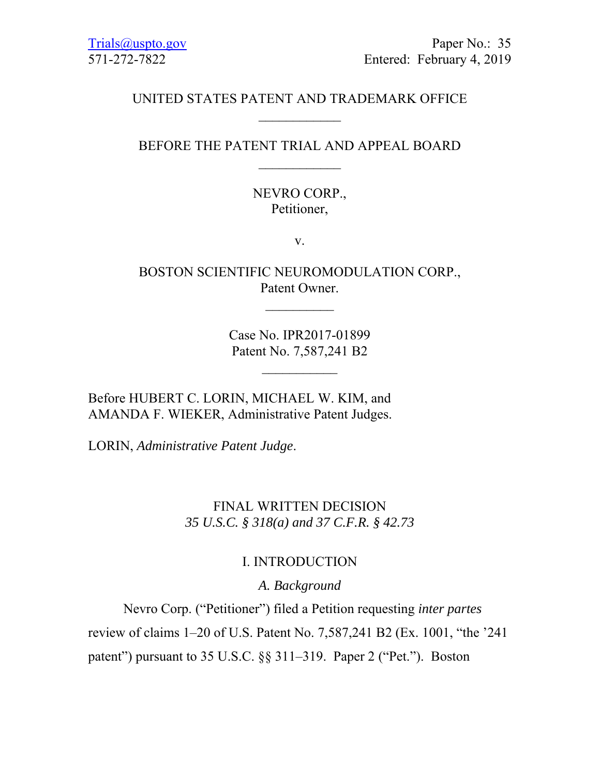# UNITED STATES PATENT AND TRADEMARK OFFICE

### BEFORE THE PATENT TRIAL AND APPEAL BOARD  $\frac{1}{2}$

# NEVRO CORP., Petitioner,

v.

BOSTON SCIENTIFIC NEUROMODULATION CORP., Patent Owner.

 $\mathcal{L}_\text{max}$ 

Case No. IPR2017-01899 Patent No. 7,587,241 B2

 $\mathcal{L}_\text{max}$ 

Before HUBERT C. LORIN, MICHAEL W. KIM, and AMANDA F. WIEKER, Administrative Patent Judges.

LORIN, *Administrative Patent Judge*.

# FINAL WRITTEN DECISION *35 U.S.C. § 318(a) and 37 C.F.R. § 42.73*

# I. INTRODUCTION

*A. Background* 

 Nevro Corp. ("Petitioner") filed a Petition requesting *inter partes*  review of claims 1–20 of U.S. Patent No. 7,587,241 B2 (Ex. 1001, "the '241 patent") pursuant to 35 U.S.C. §§ 311–319. Paper 2 ("Pet."). Boston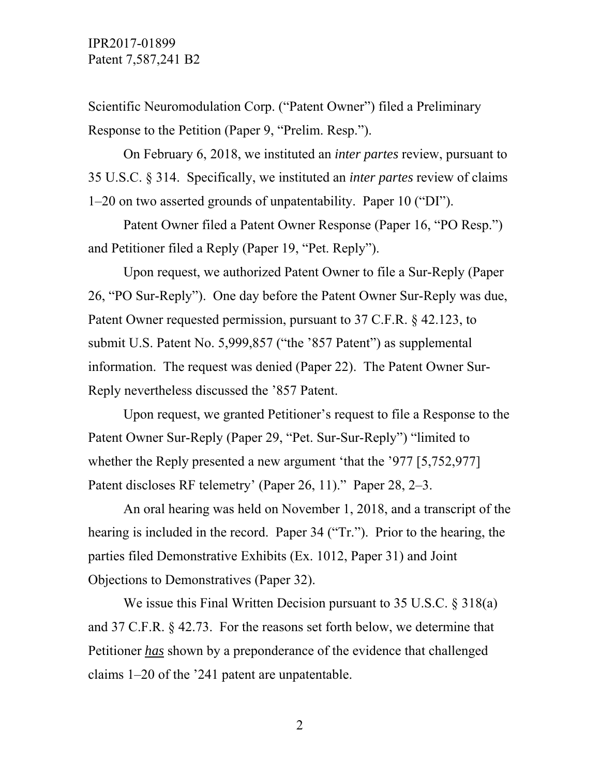Scientific Neuromodulation Corp. ("Patent Owner") filed a Preliminary Response to the Petition (Paper 9, "Prelim. Resp.").

 On February 6, 2018, we instituted an *inter partes* review, pursuant to 35 U.S.C. § 314. Specifically, we instituted an *inter partes* review of claims 1–20 on two asserted grounds of unpatentability. Paper 10 ("DI").

 Patent Owner filed a Patent Owner Response (Paper 16, "PO Resp.") and Petitioner filed a Reply (Paper 19, "Pet. Reply").

 Upon request, we authorized Patent Owner to file a Sur-Reply (Paper 26, "PO Sur-Reply"). One day before the Patent Owner Sur-Reply was due, Patent Owner requested permission, pursuant to 37 C.F.R. § 42.123, to submit U.S. Patent No. 5,999,857 ("the '857 Patent") as supplemental information. The request was denied (Paper 22). The Patent Owner Sur-Reply nevertheless discussed the '857 Patent.

 Upon request, we granted Petitioner's request to file a Response to the Patent Owner Sur-Reply (Paper 29, "Pet. Sur-Sur-Reply") "limited to whether the Reply presented a new argument 'that the '977 [5,752,977] Patent discloses RF telemetry' (Paper 26, 11)." Paper 28, 2–3.

An oral hearing was held on November 1, 2018, and a transcript of the hearing is included in the record. Paper 34 ("Tr."). Prior to the hearing, the parties filed Demonstrative Exhibits (Ex. 1012, Paper 31) and Joint Objections to Demonstratives (Paper 32).

We issue this Final Written Decision pursuant to 35 U.S.C. § 318(a) and 37 C.F.R. § 42.73. For the reasons set forth below, we determine that Petitioner *has* shown by a preponderance of the evidence that challenged claims 1–20 of the '241 patent are unpatentable.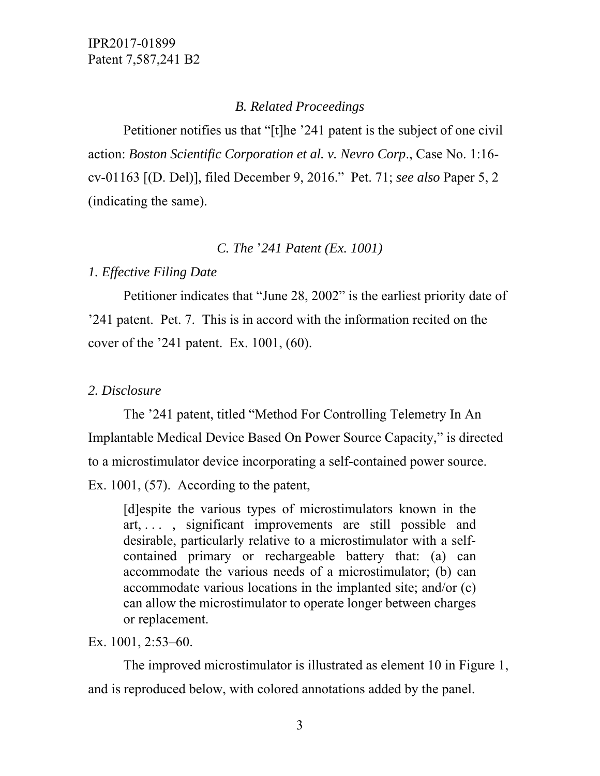### *B. Related Proceedings*

 Petitioner notifies us that "[t]he '241 patent is the subject of one civil action: *Boston Scientific Corporation et al. v. Nevro Corp*., Case No. 1:16 cv-01163 [(D. Del)], filed December 9, 2016." Pet. 71; *see also* Paper 5, 2 (indicating the same).

#### *C. The* '*241 Patent (Ex. 1001)*

#### *1. Effective Filing Date*

 Petitioner indicates that "June 28, 2002" is the earliest priority date of '241 patent. Pet. 7. This is in accord with the information recited on the cover of the '241 patent. Ex. 1001, (60).

#### *2. Disclosure*

 The '241 patent, titled "Method For Controlling Telemetry In An Implantable Medical Device Based On Power Source Capacity," is directed to a microstimulator device incorporating a self-contained power source. Ex. 1001, (57). According to the patent,

[d]espite the various types of microstimulators known in the art, . . . , significant improvements are still possible and desirable, particularly relative to a microstimulator with a selfcontained primary or rechargeable battery that: (a) can accommodate the various needs of a microstimulator; (b) can accommodate various locations in the implanted site; and/or (c) can allow the microstimulator to operate longer between charges or replacement.

Ex. 1001, 2:53–60.

 The improved microstimulator is illustrated as element 10 in Figure 1, and is reproduced below, with colored annotations added by the panel.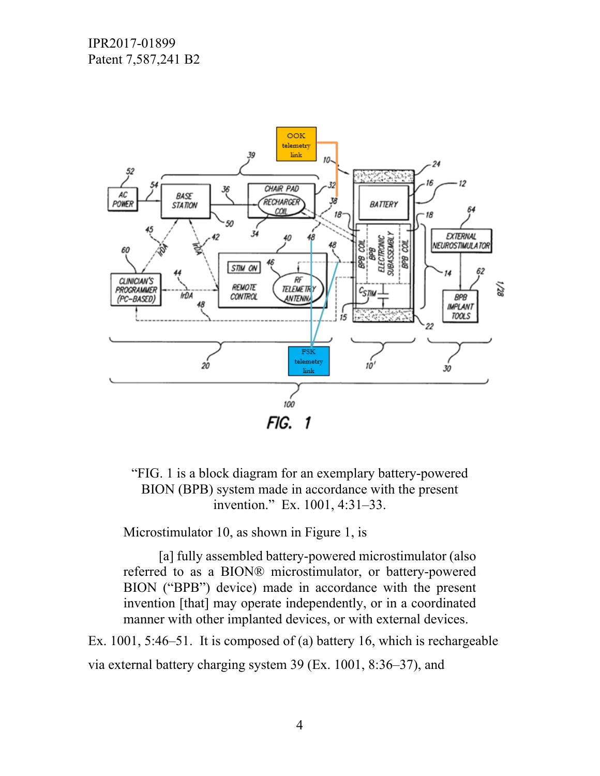

"FIG. 1 is a block diagram for an exemplary battery-powered BION (BPB) system made in accordance with the present invention." Ex. 1001, 4:31–33.

Microstimulator 10, as shown in Figure 1, is

[a] fully assembled battery-powered microstimulator (also referred to as a BION® microstimulator, or battery-powered BION ("BPB") device) made in accordance with the present invention [that] may operate independently, or in a coordinated manner with other implanted devices, or with external devices.

Ex. 1001, 5:46–51. It is composed of (a) battery 16, which is rechargeable via external battery charging system 39 (Ex. 1001, 8:36–37), and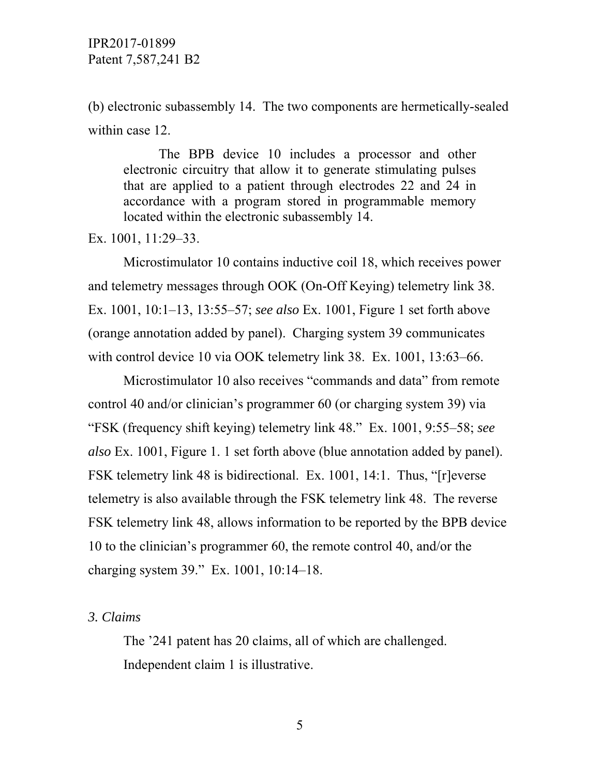(b) electronic subassembly 14. The two components are hermetically-sealed within case 12.

 The BPB device 10 includes a processor and other electronic circuitry that allow it to generate stimulating pulses that are applied to a patient through electrodes 22 and 24 in accordance with a program stored in programmable memory located within the electronic subassembly 14.

Ex. 1001, 11:29–33.

 Microstimulator 10 contains inductive coil 18, which receives power and telemetry messages through OOK (On-Off Keying) telemetry link 38. Ex. 1001, 10:1–13, 13:55–57; *see also* Ex. 1001, Figure 1 set forth above (orange annotation added by panel). Charging system 39 communicates with control device 10 via OOK telemetry link 38. Ex. 1001, 13:63–66.

 Microstimulator 10 also receives "commands and data" from remote control 40 and/or clinician's programmer 60 (or charging system 39) via "FSK (frequency shift keying) telemetry link 48." Ex. 1001, 9:55–58; *see also* Ex. 1001, Figure 1. 1 set forth above (blue annotation added by panel). FSK telemetry link 48 is bidirectional. Ex. 1001, 14:1. Thus, "[r]everse telemetry is also available through the FSK telemetry link 48. The reverse FSK telemetry link 48, allows information to be reported by the BPB device 10 to the clinician's programmer 60, the remote control 40, and/or the charging system 39." Ex. 1001, 10:14–18.

### *3. Claims*

 The '241 patent has 20 claims, all of which are challenged. Independent claim 1 is illustrative.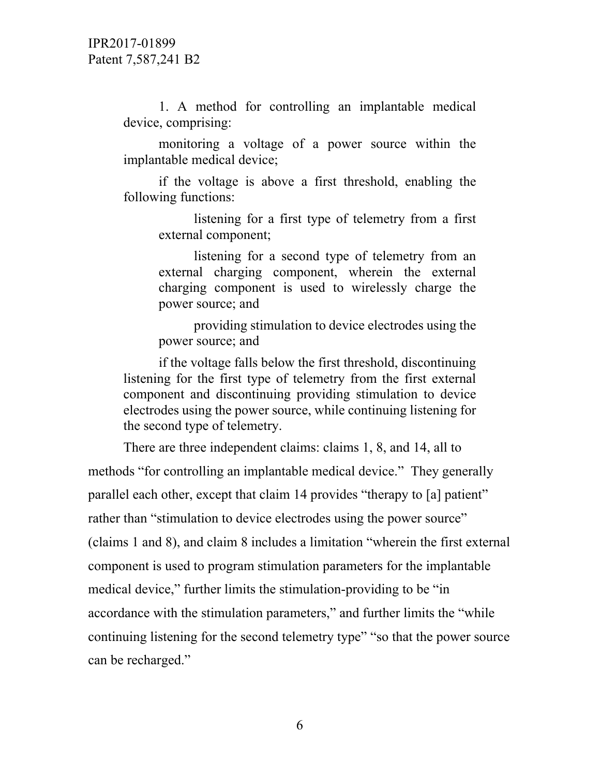1. A method for controlling an implantable medical device, comprising:

monitoring a voltage of a power source within the implantable medical device;

if the voltage is above a first threshold, enabling the following functions:

listening for a first type of telemetry from a first external component;

listening for a second type of telemetry from an external charging component, wherein the external charging component is used to wirelessly charge the power source; and

providing stimulation to device electrodes using the power source; and

if the voltage falls below the first threshold, discontinuing listening for the first type of telemetry from the first external component and discontinuing providing stimulation to device electrodes using the power source, while continuing listening for the second type of telemetry.

 There are three independent claims: claims 1, 8, and 14, all to methods "for controlling an implantable medical device." They generally parallel each other, except that claim 14 provides "therapy to [a] patient" rather than "stimulation to device electrodes using the power source" (claims 1 and 8), and claim 8 includes a limitation "wherein the first external component is used to program stimulation parameters for the implantable medical device," further limits the stimulation-providing to be "in accordance with the stimulation parameters," and further limits the "while continuing listening for the second telemetry type" "so that the power source can be recharged."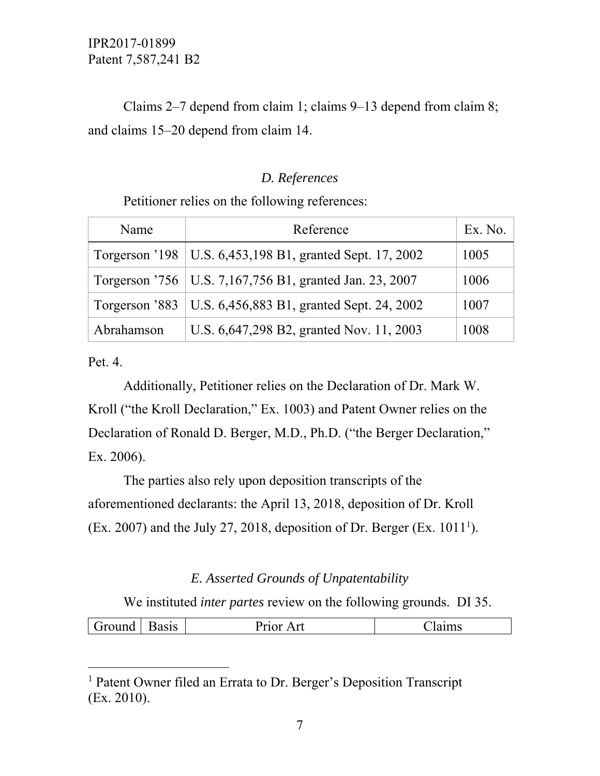# Claims 2–7 depend from claim 1; claims 9–13 depend from claim 8; and claims 15–20 depend from claim 14.

### *D. References*

Petitioner relies on the following references:

| Name       | Reference                                                  | Ex. No. |
|------------|------------------------------------------------------------|---------|
|            | Torgerson '198   U.S. 6,453,198 B1, granted Sept. 17, 2002 | 1005    |
|            | Torgerson '756   U.S. 7,167,756 B1, granted Jan. 23, 2007  | 1006    |
|            | Torgerson '883   U.S. 6,456,883 B1, granted Sept. 24, 2002 | 1007    |
| Abrahamson | U.S. 6,647,298 B2, granted Nov. 11, 2003                   | 1008    |

Pet. 4.

 $\overline{a}$ 

 Additionally, Petitioner relies on the Declaration of Dr. Mark W. Kroll ("the Kroll Declaration," Ex. 1003) and Patent Owner relies on the Declaration of Ronald D. Berger, M.D., Ph.D. ("the Berger Declaration," Ex. 2006).

The parties also rely upon deposition transcripts of the aforementioned declarants: the April 13, 2018, deposition of Dr. Kroll (Ex. 2007) and the July 27, 2018, deposition of Dr. Berger (Ex.  $1011<sup>1</sup>$ ).

### *E. Asserted Grounds of Unpatentability*

We instituted *inter partes* review on the following grounds. DI 35.

|  | المتمدد حمدنا | ----<br>טופ | .<br>امه<br>ப |  |
|--|---------------|-------------|---------------|--|
|--|---------------|-------------|---------------|--|

<sup>&</sup>lt;sup>1</sup> Patent Owner filed an Errata to Dr. Berger's Deposition Transcript (Ex. 2010).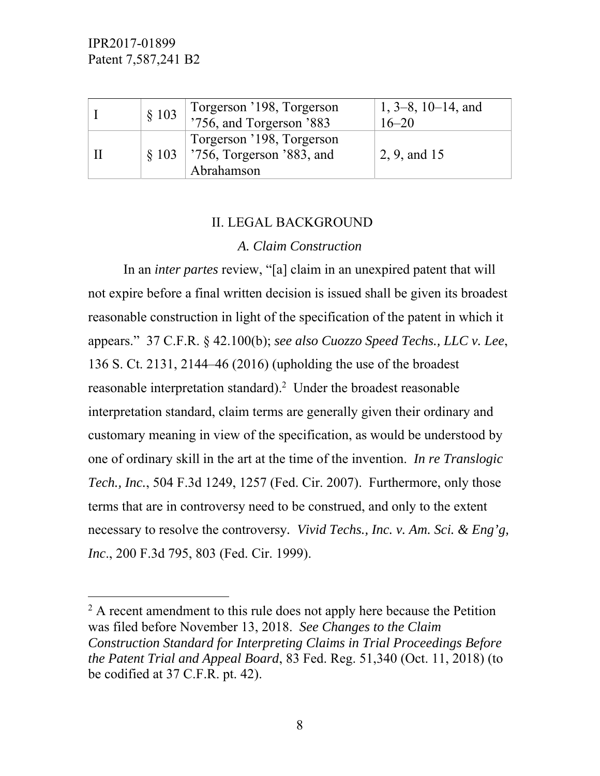-

| $\S$ 103 | Torgerson '198, Torgerson<br>'756, and Torgerson '883                        | $1, 3-8, 10-14,$ and<br>$16 - 20$ |
|----------|------------------------------------------------------------------------------|-----------------------------------|
|          | Torgerson '198, Torgerson<br>$\S 103$ 756, Torgerson '883, and<br>Abrahamson | $2, 9,$ and 15                    |

### II. LEGAL BACKGROUND

#### *A. Claim Construction*

 In an *inter partes* review, "[a] claim in an unexpired patent that will not expire before a final written decision is issued shall be given its broadest reasonable construction in light of the specification of the patent in which it appears." 37 C.F.R. § 42.100(b); *see also Cuozzo Speed Techs., LLC v. Lee*, 136 S. Ct. 2131, 2144–46 (2016) (upholding the use of the broadest reasonable interpretation standard).<sup>2</sup> Under the broadest reasonable interpretation standard, claim terms are generally given their ordinary and customary meaning in view of the specification, as would be understood by one of ordinary skill in the art at the time of the invention. *In re Translogic Tech., Inc.*, 504 F.3d 1249, 1257 (Fed. Cir. 2007). Furthermore, only those terms that are in controversy need to be construed, and only to the extent necessary to resolve the controversy*. Vivid Techs., Inc. v. Am. Sci. & Eng'g, Inc*., 200 F.3d 795, 803 (Fed. Cir. 1999).

 $2^2$  A recent amendment to this rule does not apply here because the Petition was filed before November 13, 2018. *See Changes to the Claim Construction Standard for Interpreting Claims in Trial Proceedings Before the Patent Trial and Appeal Board*, 83 Fed. Reg. 51,340 (Oct. 11, 2018) (to be codified at 37 C.F.R. pt. 42).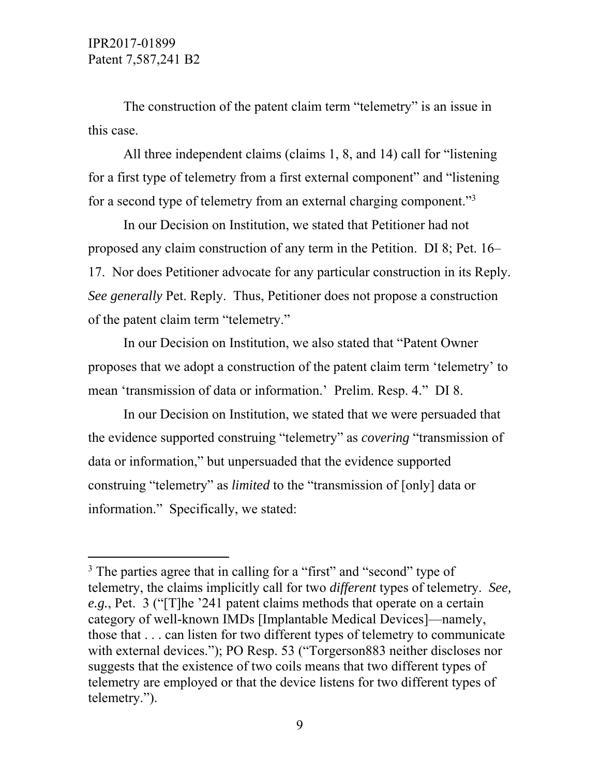$\overline{a}$ 

 The construction of the patent claim term "telemetry" is an issue in this case.

 All three independent claims (claims 1, 8, and 14) call for "listening for a first type of telemetry from a first external component" and "listening for a second type of telemetry from an external charging component."<sup>3</sup>

 In our Decision on Institution, we stated that Petitioner had not proposed any claim construction of any term in the Petition. DI 8; Pet. 16– 17. Nor does Petitioner advocate for any particular construction in its Reply. *See generally* Pet. Reply. Thus, Petitioner does not propose a construction of the patent claim term "telemetry."

 In our Decision on Institution, we also stated that "Patent Owner proposes that we adopt a construction of the patent claim term 'telemetry' to mean 'transmission of data or information.' Prelim. Resp. 4." DI 8.

 In our Decision on Institution, we stated that we were persuaded that the evidence supported construing "telemetry" as *covering* "transmission of data or information," but unpersuaded that the evidence supported construing "telemetry" as *limited* to the "transmission of [only] data or information." Specifically, we stated:

<sup>&</sup>lt;sup>3</sup> The parties agree that in calling for a "first" and "second" type of telemetry, the claims implicitly call for two *different* types of telemetry. *See, e.g.*, Pet. 3 ("[T]he '241 patent claims methods that operate on a certain category of well-known IMDs [Implantable Medical Devices]—namely, those that . . . can listen for two different types of telemetry to communicate with external devices."); PO Resp. 53 ("Torgerson883 neither discloses nor suggests that the existence of two coils means that two different types of telemetry are employed or that the device listens for two different types of telemetry.").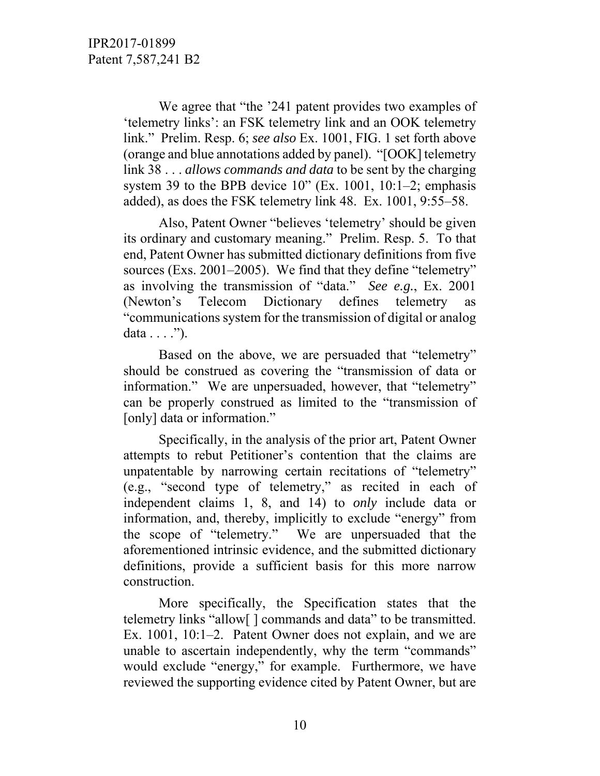We agree that "the '241 patent provides two examples of 'telemetry links': an FSK telemetry link and an OOK telemetry link." Prelim. Resp. 6; *see also* Ex. 1001, FIG. 1 set forth above (orange and blue annotations added by panel). "[OOK] telemetry link 38 . . . *allows commands and data* to be sent by the charging system 39 to the BPB device  $10$ " (Ex. 1001, 10:1–2; emphasis added), as does the FSK telemetry link 48. Ex. 1001, 9:55–58.

 Also, Patent Owner "believes 'telemetry' should be given its ordinary and customary meaning." Prelim. Resp. 5. To that end, Patent Owner has submitted dictionary definitions from five sources (Exs. 2001–2005). We find that they define "telemetry" as involving the transmission of "data." *See e.g.*, Ex. 2001 (Newton's Telecom Dictionary defines telemetry as "communications system for the transmission of digital or analog data  $\dots$  .").

 Based on the above, we are persuaded that "telemetry" should be construed as covering the "transmission of data or information." We are unpersuaded, however, that "telemetry" can be properly construed as limited to the "transmission of [only] data or information."

 Specifically, in the analysis of the prior art, Patent Owner attempts to rebut Petitioner's contention that the claims are unpatentable by narrowing certain recitations of "telemetry" (e.g., "second type of telemetry," as recited in each of independent claims 1, 8, and 14) to *only* include data or information, and, thereby, implicitly to exclude "energy" from the scope of "telemetry." We are unpersuaded that the aforementioned intrinsic evidence, and the submitted dictionary definitions, provide a sufficient basis for this more narrow construction.

 More specifically, the Specification states that the telemetry links "allow[ ] commands and data" to be transmitted. Ex. 1001, 10:1–2. Patent Owner does not explain, and we are unable to ascertain independently, why the term "commands" would exclude "energy," for example. Furthermore, we have reviewed the supporting evidence cited by Patent Owner, but are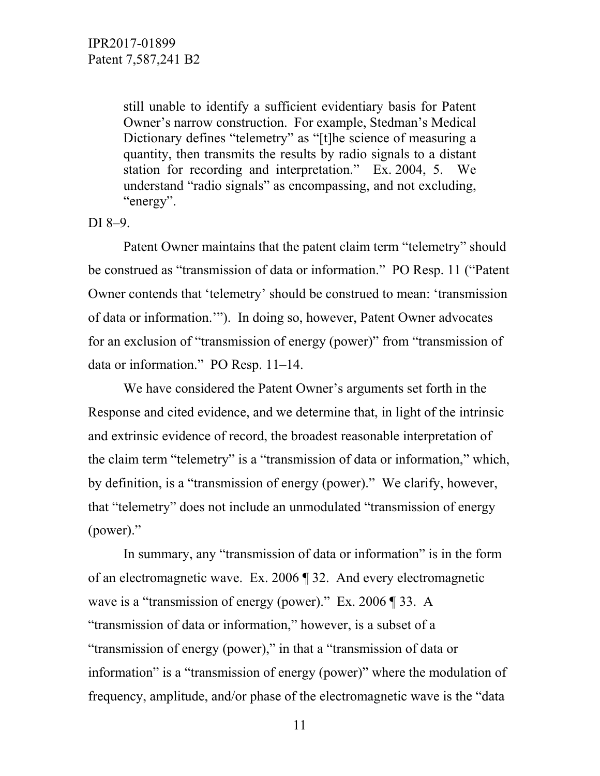still unable to identify a sufficient evidentiary basis for Patent Owner's narrow construction. For example, Stedman's Medical Dictionary defines "telemetry" as "[t]he science of measuring a quantity, then transmits the results by radio signals to a distant station for recording and interpretation." Ex. 2004, 5. We understand "radio signals" as encompassing, and not excluding, "energy".

DI 8–9.

 Patent Owner maintains that the patent claim term "telemetry" should be construed as "transmission of data or information." PO Resp. 11 ("Patent Owner contends that 'telemetry' should be construed to mean: 'transmission of data or information.'"). In doing so, however, Patent Owner advocates for an exclusion of "transmission of energy (power)" from "transmission of data or information." PO Resp. 11–14.

We have considered the Patent Owner's arguments set forth in the Response and cited evidence, and we determine that, in light of the intrinsic and extrinsic evidence of record, the broadest reasonable interpretation of the claim term "telemetry" is a "transmission of data or information," which, by definition, is a "transmission of energy (power)." We clarify, however, that "telemetry" does not include an unmodulated "transmission of energy (power)."

In summary, any "transmission of data or information" is in the form of an electromagnetic wave. Ex. 2006 ¶ 32. And every electromagnetic wave is a "transmission of energy (power)." Ex. 2006 ¶ 33. A "transmission of data or information," however, is a subset of a "transmission of energy (power)," in that a "transmission of data or information" is a "transmission of energy (power)" where the modulation of frequency, amplitude, and/or phase of the electromagnetic wave is the "data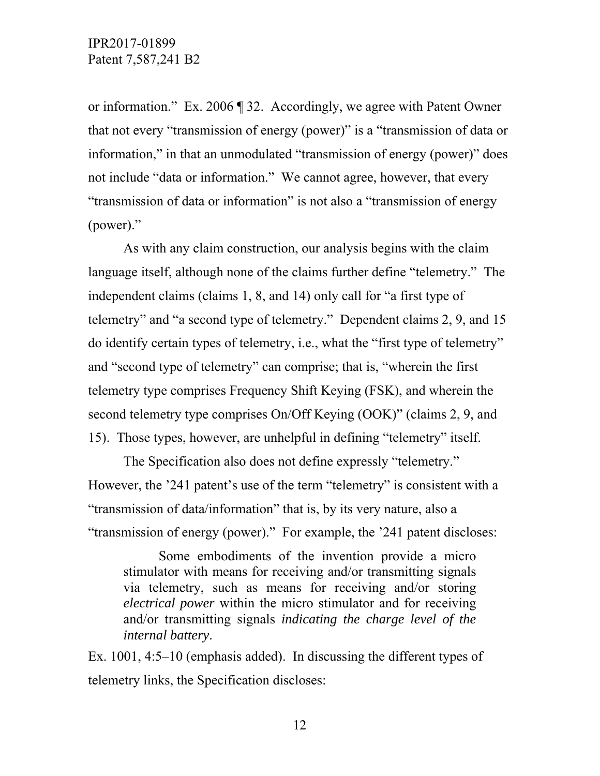or information." Ex. 2006 ¶ 32. Accordingly, we agree with Patent Owner that not every "transmission of energy (power)" is a "transmission of data or information," in that an unmodulated "transmission of energy (power)" does not include "data or information." We cannot agree, however, that every "transmission of data or information" is not also a "transmission of energy (power)."

 As with any claim construction, our analysis begins with the claim language itself, although none of the claims further define "telemetry." The independent claims (claims 1, 8, and 14) only call for "a first type of telemetry" and "a second type of telemetry." Dependent claims 2, 9, and 15 do identify certain types of telemetry, i.e., what the "first type of telemetry" and "second type of telemetry" can comprise; that is, "wherein the first telemetry type comprises Frequency Shift Keying (FSK), and wherein the second telemetry type comprises On/Off Keying (OOK)" (claims 2, 9, and 15). Those types, however, are unhelpful in defining "telemetry" itself.

 The Specification also does not define expressly "telemetry." However, the '241 patent's use of the term "telemetry" is consistent with a "transmission of data/information" that is, by its very nature, also a "transmission of energy (power)." For example, the '241 patent discloses:

 Some embodiments of the invention provide a micro stimulator with means for receiving and/or transmitting signals via telemetry, such as means for receiving and/or storing *electrical power* within the micro stimulator and for receiving and/or transmitting signals *indicating the charge level of the internal battery*.

Ex. 1001, 4:5–10 (emphasis added). In discussing the different types of telemetry links, the Specification discloses: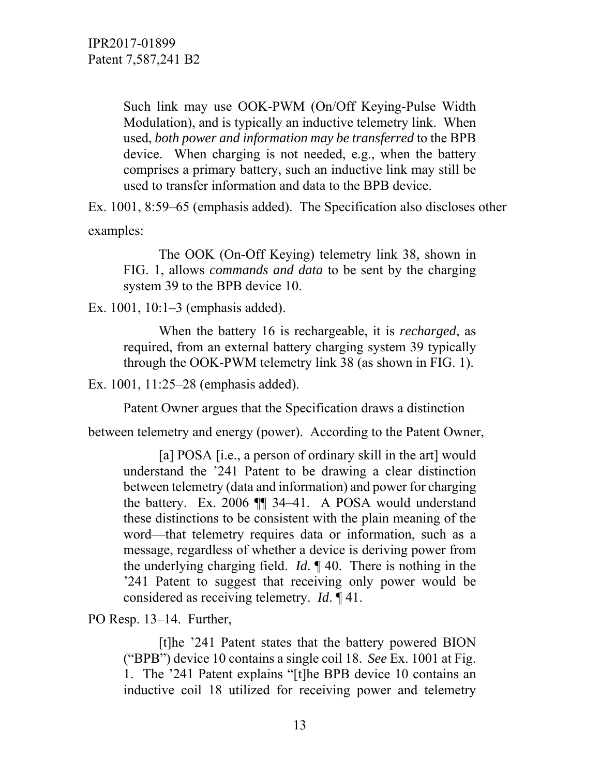Such link may use OOK-PWM (On/Off Keying-Pulse Width Modulation), and is typically an inductive telemetry link. When used, *both power and information may be transferred* to the BPB device. When charging is not needed, e.g., when the battery comprises a primary battery, such an inductive link may still be used to transfer information and data to the BPB device.

Ex. 1001, 8:59–65 (emphasis added). The Specification also discloses other examples:

 The OOK (On-Off Keying) telemetry link 38, shown in FIG. 1, allows *commands and data* to be sent by the charging system 39 to the BPB device 10.

Ex. 1001, 10:1–3 (emphasis added).

 When the battery 16 is rechargeable, it is *recharged*, as required, from an external battery charging system 39 typically through the OOK-PWM telemetry link 38 (as shown in FIG. 1).

Ex. 1001, 11:25–28 (emphasis added).

Patent Owner argues that the Specification draws a distinction

between telemetry and energy (power). According to the Patent Owner,

[a] POSA [i.e., a person of ordinary skill in the art] would understand the '241 Patent to be drawing a clear distinction between telemetry (data and information) and power for charging the battery. Ex. 2006 ¶¶ 34–41. A POSA would understand these distinctions to be consistent with the plain meaning of the word—that telemetry requires data or information, such as a message, regardless of whether a device is deriving power from the underlying charging field. *Id*. ¶ 40. There is nothing in the '241 Patent to suggest that receiving only power would be considered as receiving telemetry. *Id*. ¶ 41.

PO Resp. 13–14. Further,

 [t]he '241 Patent states that the battery powered BION ("BPB") device 10 contains a single coil 18. *See* Ex. 1001 at Fig. 1. The '241 Patent explains "[t]he BPB device 10 contains an inductive coil 18 utilized for receiving power and telemetry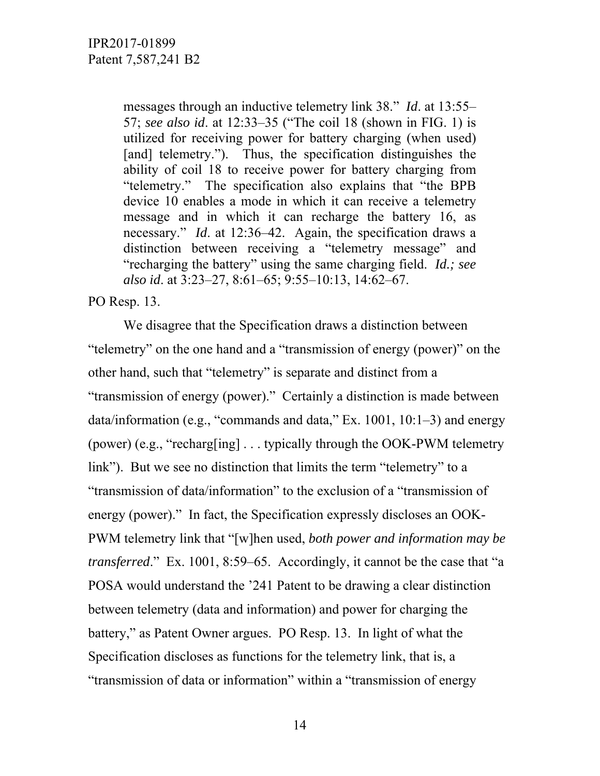messages through an inductive telemetry link 38." *Id*. at 13:55– 57; *see also id*. at 12:33–35 ("The coil 18 (shown in FIG. 1) is utilized for receiving power for battery charging (when used) [and] telemetry."). Thus, the specification distinguishes the ability of coil 18 to receive power for battery charging from "telemetry." The specification also explains that "the BPB device 10 enables a mode in which it can receive a telemetry message and in which it can recharge the battery 16, as necessary." *Id*. at 12:36–42. Again, the specification draws a distinction between receiving a "telemetry message" and "recharging the battery" using the same charging field. *Id.; see also id*. at 3:23–27, 8:61–65; 9:55–10:13, 14:62–67.

PO Resp. 13.

 We disagree that the Specification draws a distinction between "telemetry" on the one hand and a "transmission of energy (power)" on the other hand, such that "telemetry" is separate and distinct from a "transmission of energy (power)." Certainly a distinction is made between data/information (e.g., "commands and data," Ex. 1001, 10:1–3) and energy (power) (e.g., "recharg[ing] . . . typically through the OOK-PWM telemetry link"). But we see no distinction that limits the term "telemetry" to a "transmission of data/information" to the exclusion of a "transmission of energy (power)." In fact, the Specification expressly discloses an OOK-PWM telemetry link that "[w]hen used, *both power and information may be transferred*." Ex. 1001, 8:59–65. Accordingly, it cannot be the case that "a POSA would understand the '241 Patent to be drawing a clear distinction between telemetry (data and information) and power for charging the battery," as Patent Owner argues. PO Resp. 13. In light of what the Specification discloses as functions for the telemetry link, that is, a "transmission of data or information" within a "transmission of energy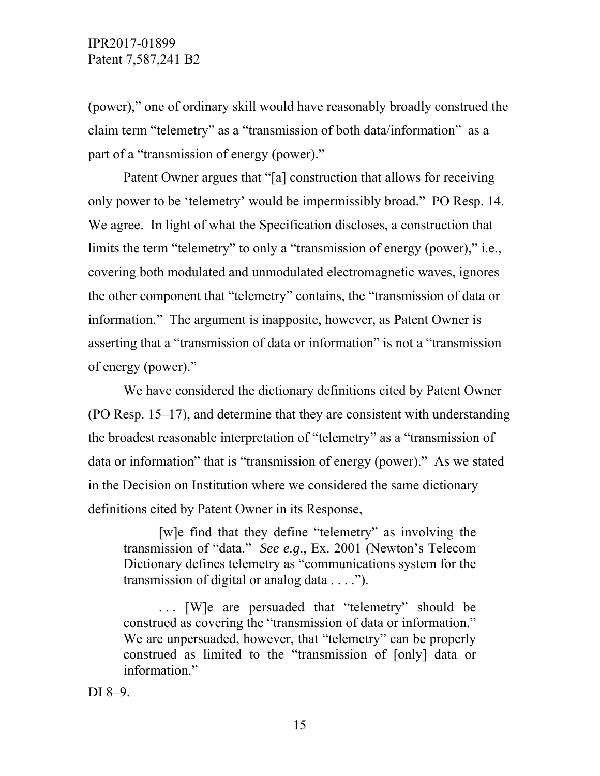(power)," one of ordinary skill would have reasonably broadly construed the claim term "telemetry" as a "transmission of both data/information" as a part of a "transmission of energy (power)."

 Patent Owner argues that "[a] construction that allows for receiving only power to be 'telemetry' would be impermissibly broad." PO Resp. 14. We agree. In light of what the Specification discloses, a construction that limits the term "telemetry" to only a "transmission of energy (power)," i.e., covering both modulated and unmodulated electromagnetic waves, ignores the other component that "telemetry" contains, the "transmission of data or information." The argument is inapposite, however, as Patent Owner is asserting that a "transmission of data or information" is not a "transmission of energy (power)."

We have considered the dictionary definitions cited by Patent Owner (PO Resp. 15–17), and determine that they are consistent with understanding the broadest reasonable interpretation of "telemetry" as a "transmission of data or information" that is "transmission of energy (power)." As we stated in the Decision on Institution where we considered the same dictionary definitions cited by Patent Owner in its Response,

[w]e find that they define "telemetry" as involving the transmission of "data." *See e.g*., Ex. 2001 (Newton's Telecom Dictionary defines telemetry as "communications system for the transmission of digital or analog data . . . .").

. . . [W]e are persuaded that "telemetry" should be construed as covering the "transmission of data or information." We are unpersuaded, however, that "telemetry" can be properly construed as limited to the "transmission of [only] data or information"

DI 8–9.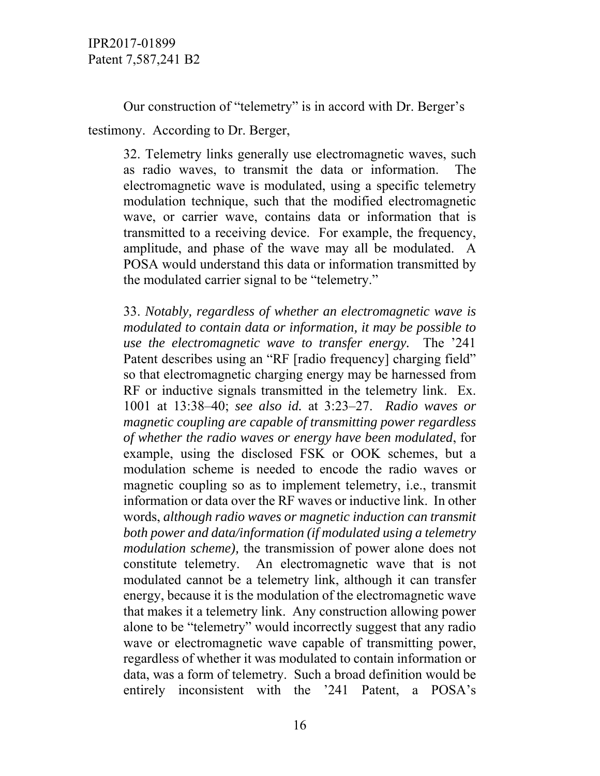Our construction of "telemetry" is in accord with Dr. Berger's testimony. According to Dr. Berger,

32. Telemetry links generally use electromagnetic waves, such as radio waves, to transmit the data or information. The electromagnetic wave is modulated, using a specific telemetry modulation technique, such that the modified electromagnetic wave, or carrier wave, contains data or information that is transmitted to a receiving device. For example, the frequency, amplitude, and phase of the wave may all be modulated. A POSA would understand this data or information transmitted by the modulated carrier signal to be "telemetry."

33. *Notably, regardless of whether an electromagnetic wave is modulated to contain data or information, it may be possible to use the electromagnetic wave to transfer energy.* The '241 Patent describes using an "RF [radio frequency] charging field" so that electromagnetic charging energy may be harnessed from RF or inductive signals transmitted in the telemetry link. Ex. 1001 at 13:38–40; *see also id.* at 3:23–27. *Radio waves or magnetic coupling are capable of transmitting power regardless of whether the radio waves or energy have been modulated*, for example, using the disclosed FSK or OOK schemes, but a modulation scheme is needed to encode the radio waves or magnetic coupling so as to implement telemetry, i.e., transmit information or data over the RF waves or inductive link. In other words, *although radio waves or magnetic induction can transmit both power and data/information (if modulated using a telemetry modulation scheme),* the transmission of power alone does not constitute telemetry. An electromagnetic wave that is not modulated cannot be a telemetry link, although it can transfer energy, because it is the modulation of the electromagnetic wave that makes it a telemetry link. Any construction allowing power alone to be "telemetry" would incorrectly suggest that any radio wave or electromagnetic wave capable of transmitting power, regardless of whether it was modulated to contain information or data, was a form of telemetry. Such a broad definition would be entirely inconsistent with the '241 Patent, a POSA's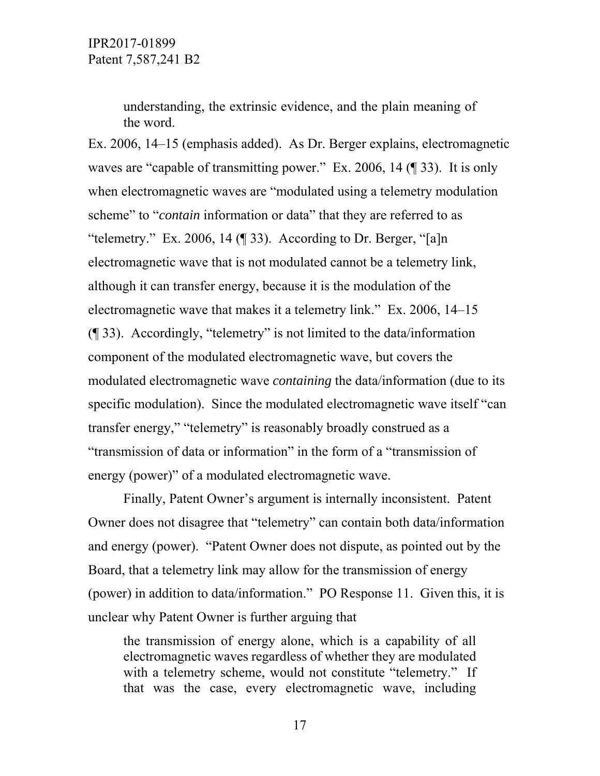understanding, the extrinsic evidence, and the plain meaning of the word.

Ex. 2006, 14–15 (emphasis added). As Dr. Berger explains, electromagnetic waves are "capable of transmitting power." Ex. 2006, 14 (¶ 33). It is only when electromagnetic waves are "modulated using a telemetry modulation scheme" to "*contain* information or data" that they are referred to as "telemetry." Ex. 2006, 14 (¶ 33). According to Dr. Berger, "[a]n electromagnetic wave that is not modulated cannot be a telemetry link, although it can transfer energy, because it is the modulation of the electromagnetic wave that makes it a telemetry link." Ex. 2006, 14–15 (¶ 33). Accordingly, "telemetry" is not limited to the data/information component of the modulated electromagnetic wave, but covers the modulated electromagnetic wave *containing* the data/information (due to its specific modulation). Since the modulated electromagnetic wave itself "can transfer energy," "telemetry" is reasonably broadly construed as a "transmission of data or information" in the form of a "transmission of energy (power)" of a modulated electromagnetic wave.

 Finally, Patent Owner's argument is internally inconsistent. Patent Owner does not disagree that "telemetry" can contain both data/information and energy (power). "Patent Owner does not dispute, as pointed out by the Board, that a telemetry link may allow for the transmission of energy (power) in addition to data/information." PO Response 11. Given this, it is unclear why Patent Owner is further arguing that

the transmission of energy alone, which is a capability of all electromagnetic waves regardless of whether they are modulated with a telemetry scheme, would not constitute "telemetry." If that was the case, every electromagnetic wave, including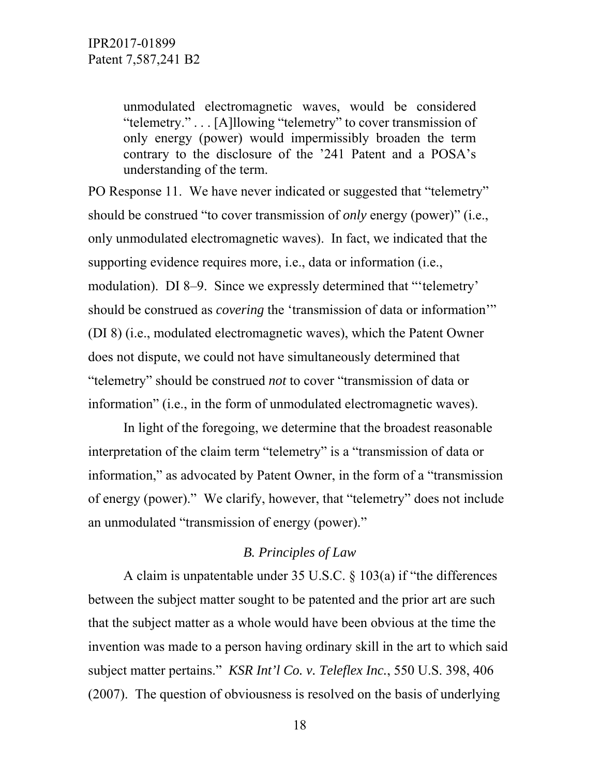unmodulated electromagnetic waves, would be considered "telemetry." . . . [A]llowing "telemetry" to cover transmission of only energy (power) would impermissibly broaden the term contrary to the disclosure of the '241 Patent and a POSA's understanding of the term.

PO Response 11. We have never indicated or suggested that "telemetry" should be construed "to cover transmission of *only* energy (power)" (i.e., only unmodulated electromagnetic waves). In fact, we indicated that the supporting evidence requires more, i.e., data or information (i.e., modulation). DI 8–9. Since we expressly determined that "'telemetry' should be construed as *covering* the 'transmission of data or information'" (DI 8) (i.e., modulated electromagnetic waves), which the Patent Owner does not dispute, we could not have simultaneously determined that "telemetry" should be construed *not* to cover "transmission of data or information" (i.e., in the form of unmodulated electromagnetic waves).

 In light of the foregoing, we determine that the broadest reasonable interpretation of the claim term "telemetry" is a "transmission of data or information," as advocated by Patent Owner, in the form of a "transmission of energy (power)." We clarify, however, that "telemetry" does not include an unmodulated "transmission of energy (power)."

### *B. Principles of Law*

A claim is unpatentable under 35 U.S.C. § 103(a) if "the differences between the subject matter sought to be patented and the prior art are such that the subject matter as a whole would have been obvious at the time the invention was made to a person having ordinary skill in the art to which said subject matter pertains." *KSR Int'l Co. v. Teleflex Inc.*, 550 U.S. 398, 406 (2007). The question of obviousness is resolved on the basis of underlying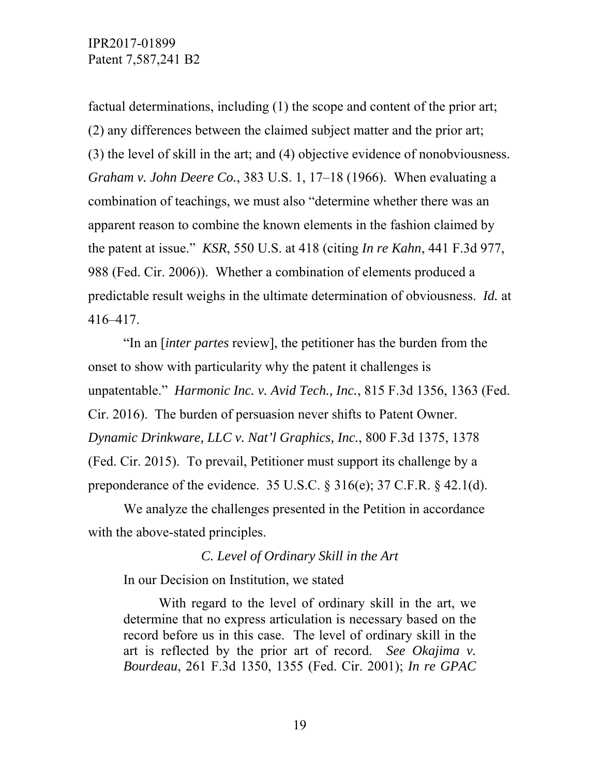factual determinations, including (1) the scope and content of the prior art; (2) any differences between the claimed subject matter and the prior art; (3) the level of skill in the art; and (4) objective evidence of nonobviousness. *Graham v. John Deere Co.*, 383 U.S. 1, 17–18 (1966). When evaluating a combination of teachings, we must also "determine whether there was an apparent reason to combine the known elements in the fashion claimed by the patent at issue." *KSR*, 550 U.S. at 418 (citing *In re Kahn*, 441 F.3d 977, 988 (Fed. Cir. 2006)). Whether a combination of elements produced a predictable result weighs in the ultimate determination of obviousness. *Id.* at 416–417.

"In an [*inter partes* review], the petitioner has the burden from the onset to show with particularity why the patent it challenges is unpatentable." *Harmonic Inc. v. Avid Tech., Inc.*, 815 F.3d 1356, 1363 (Fed. Cir. 2016). The burden of persuasion never shifts to Patent Owner. *Dynamic Drinkware, LLC v. Nat'l Graphics, Inc.*, 800 F.3d 1375, 1378 (Fed. Cir. 2015). To prevail, Petitioner must support its challenge by a preponderance of the evidence. 35 U.S.C.  $\S 316(e)$ ; 37 C.F.R.  $\S 42.1(d)$ .

We analyze the challenges presented in the Petition in accordance with the above-stated principles.

*C. Level of Ordinary Skill in the Art* 

In our Decision on Institution, we stated

 With regard to the level of ordinary skill in the art, we determine that no express articulation is necessary based on the record before us in this case. The level of ordinary skill in the art is reflected by the prior art of record. *See Okajima v. Bourdeau*, 261 F.3d 1350, 1355 (Fed. Cir. 2001); *In re GPAC*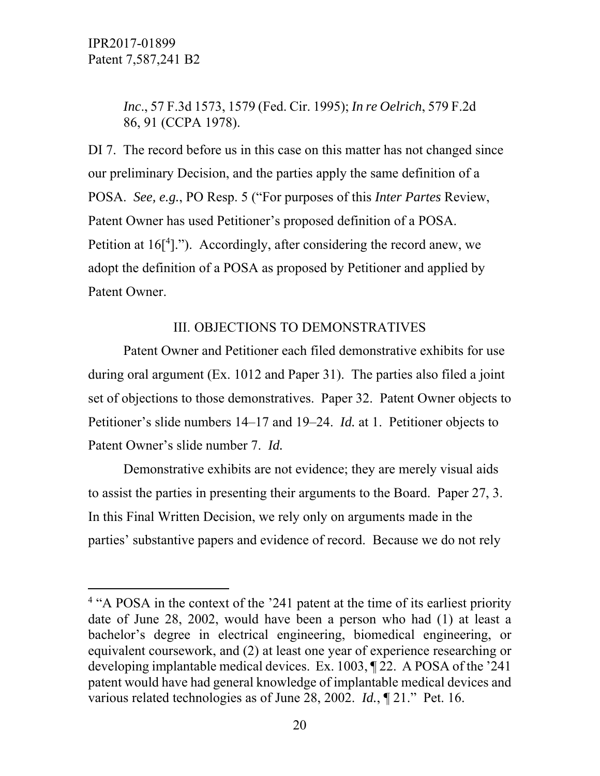$\overline{a}$ 

*Inc*., 57 F.3d 1573, 1579 (Fed. Cir. 1995); *In re Oelrich*, 579 F.2d 86, 91 (CCPA 1978).

DI 7. The record before us in this case on this matter has not changed since our preliminary Decision, and the parties apply the same definition of a POSA. *See, e.g.*, PO Resp. 5 ("For purposes of this *Inter Partes* Review, Patent Owner has used Petitioner's proposed definition of a POSA. Petition at  $16[4]$ ."). Accordingly, after considering the record anew, we adopt the definition of a POSA as proposed by Petitioner and applied by Patent Owner.

### III. OBJECTIONS TO DEMONSTRATIVES

Patent Owner and Petitioner each filed demonstrative exhibits for use during oral argument (Ex. 1012 and Paper 31). The parties also filed a joint set of objections to those demonstratives. Paper 32. Patent Owner objects to Petitioner's slide numbers 14–17 and 19–24. *Id.* at 1. Petitioner objects to Patent Owner's slide number 7. *Id.* 

Demonstrative exhibits are not evidence; they are merely visual aids to assist the parties in presenting their arguments to the Board. Paper 27, 3. In this Final Written Decision, we rely only on arguments made in the parties' substantive papers and evidence of record. Because we do not rely

<sup>&</sup>lt;sup>4</sup> "A POSA in the context of the '241 patent at the time of its earliest priority date of June 28, 2002, would have been a person who had (1) at least a bachelor's degree in electrical engineering, biomedical engineering, or equivalent coursework, and (2) at least one year of experience researching or developing implantable medical devices. Ex. 1003, ¶ 22. A POSA of the '241 patent would have had general knowledge of implantable medical devices and various related technologies as of June 28, 2002. *Id.*, ¶ 21." Pet. 16.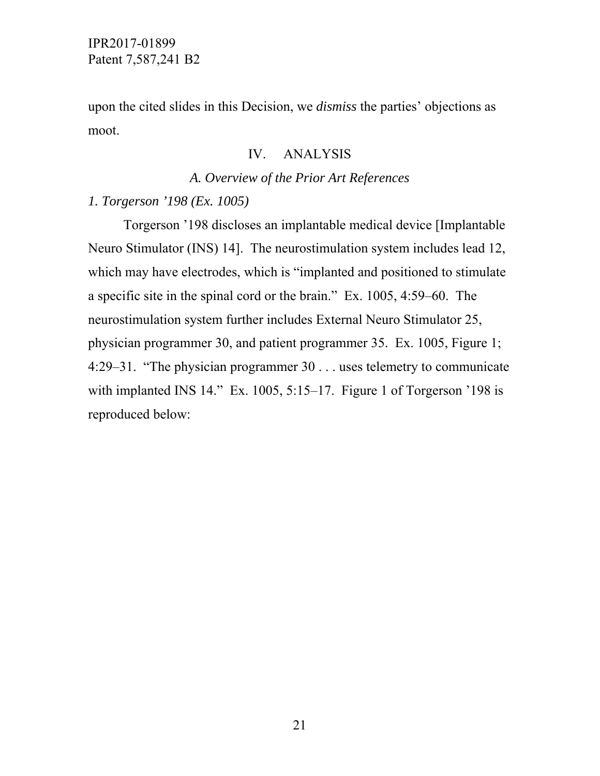upon the cited slides in this Decision, we *dismiss* the parties' objections as moot.

### IV. ANALYSIS

### *A. Overview of the Prior Art References*

### *1. Torgerson '198 (Ex. 1005)*

 Torgerson '198 discloses an implantable medical device [Implantable Neuro Stimulator (INS) 14]. The neurostimulation system includes lead 12, which may have electrodes, which is "implanted and positioned to stimulate" a specific site in the spinal cord or the brain." Ex. 1005, 4:59–60. The neurostimulation system further includes External Neuro Stimulator 25, physician programmer 30, and patient programmer 35. Ex. 1005, Figure 1; 4:29–31. "The physician programmer 30 . . . uses telemetry to communicate with implanted INS 14." Ex. 1005, 5:15–17. Figure 1 of Torgerson '198 is reproduced below: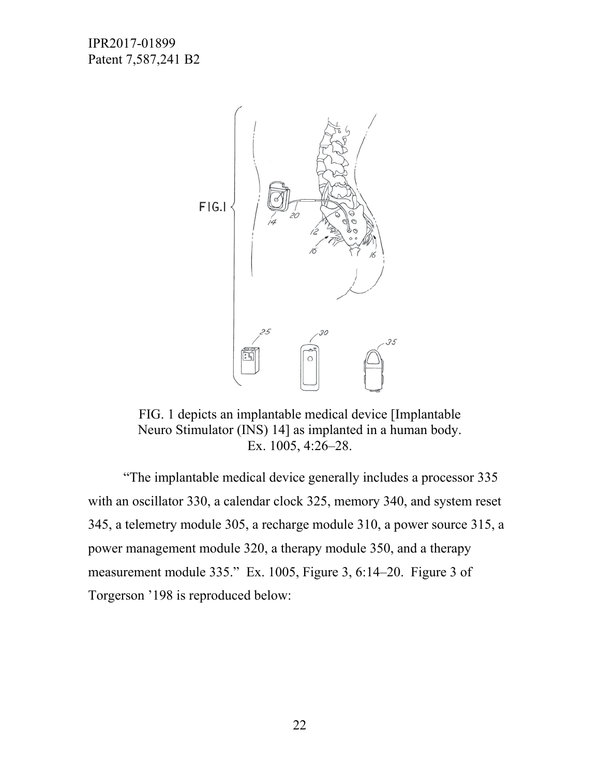

FIG. 1 depicts an implantable medical device [Implantable Neuro Stimulator (INS) 14] as implanted in a human body. Ex. 1005, 4:26–28.

 "The implantable medical device generally includes a processor 335 with an oscillator 330, a calendar clock 325, memory 340, and system reset 345, a telemetry module 305, a recharge module 310, a power source 315, a power management module 320, a therapy module 350, and a therapy measurement module 335." Ex. 1005, Figure 3, 6:14–20. Figure 3 of Torgerson '198 is reproduced below: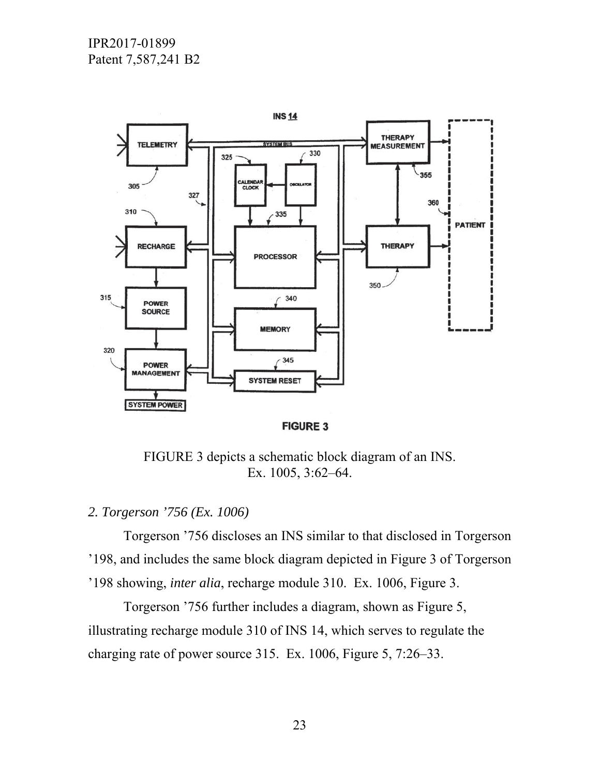

**FIGURE 3** 

FIGURE 3 depicts a schematic block diagram of an INS. Ex. 1005, 3:62–64.

## *2. Torgerson '756 (Ex. 1006)*

 Torgerson '756 discloses an INS similar to that disclosed in Torgerson '198, and includes the same block diagram depicted in Figure 3 of Torgerson '198 showing, *inter alia*, recharge module 310. Ex. 1006, Figure 3.

 Torgerson '756 further includes a diagram, shown as Figure 5, illustrating recharge module 310 of INS 14, which serves to regulate the charging rate of power source 315. Ex. 1006, Figure 5, 7:26–33.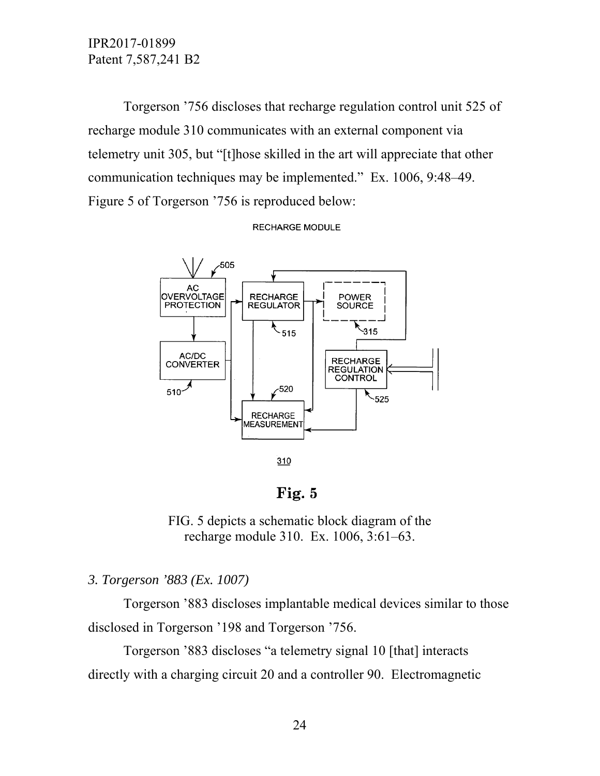Torgerson '756 discloses that recharge regulation control unit 525 of recharge module 310 communicates with an external component via telemetry unit 305, but "[t]hose skilled in the art will appreciate that other communication techniques may be implemented." Ex. 1006, 9:48–49. Figure 5 of Torgerson '756 is reproduced below:

**RECHARGE MODULE** 



Fig. 5

FIG. 5 depicts a schematic block diagram of the recharge module 310. Ex. 1006, 3:61–63.

### *3. Torgerson '883 (Ex. 1007)*

 Torgerson '883 discloses implantable medical devices similar to those disclosed in Torgerson '198 and Torgerson '756.

 Torgerson '883 discloses "a telemetry signal 10 [that] interacts directly with a charging circuit 20 and a controller 90. Electromagnetic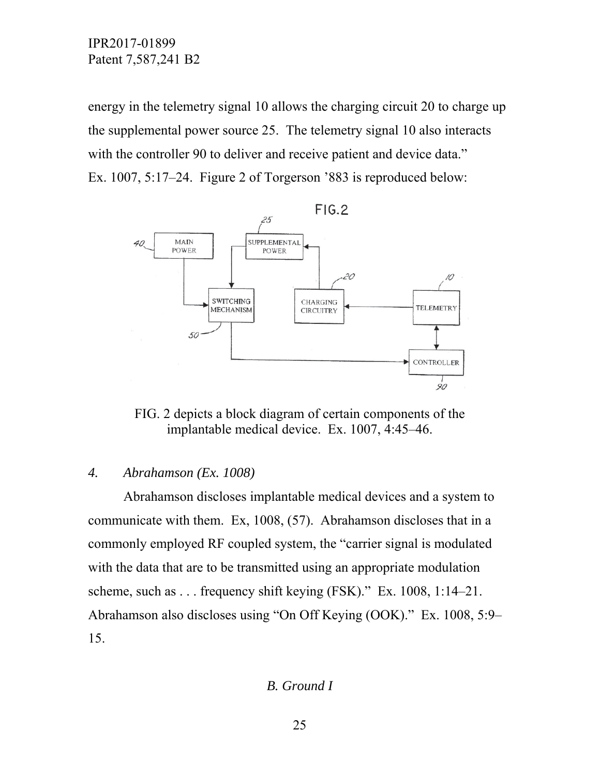energy in the telemetry signal 10 allows the charging circuit 20 to charge up the supplemental power source 25. The telemetry signal 10 also interacts with the controller 90 to deliver and receive patient and device data." Ex. 1007, 5:17–24. Figure 2 of Torgerson '883 is reproduced below:



FIG. 2 depicts a block diagram of certain components of the implantable medical device. Ex. 1007, 4:45–46.

### *4. Abrahamson (Ex. 1008)*

 Abrahamson discloses implantable medical devices and a system to communicate with them. Ex, 1008, (57). Abrahamson discloses that in a commonly employed RF coupled system, the "carrier signal is modulated with the data that are to be transmitted using an appropriate modulation scheme, such as . . . frequency shift keying (FSK)." Ex. 1008, 1:14–21. Abrahamson also discloses using "On Off Keying (OOK)." Ex. 1008, 5:9– 15.

*B. Ground I*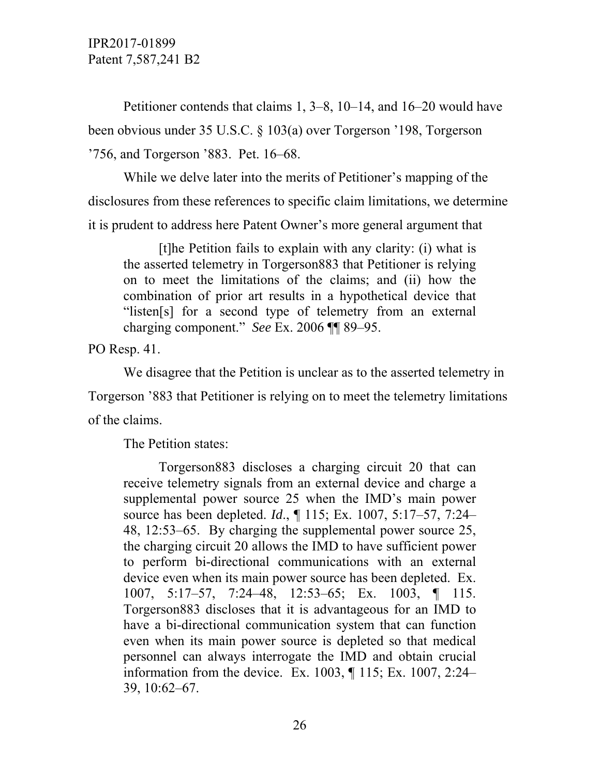Petitioner contends that claims 1, 3–8, 10–14, and 16–20 would have been obvious under 35 U.S.C. § 103(a) over Torgerson '198, Torgerson '756, and Torgerson '883. Pet. 16–68.

 While we delve later into the merits of Petitioner's mapping of the disclosures from these references to specific claim limitations, we determine it is prudent to address here Patent Owner's more general argument that

 [t]he Petition fails to explain with any clarity: (i) what is the asserted telemetry in Torgerson883 that Petitioner is relying on to meet the limitations of the claims; and (ii) how the combination of prior art results in a hypothetical device that "listen[s] for a second type of telemetry from an external charging component." *See* Ex. 2006 ¶¶ 89–95.

PO Resp. 41.

 We disagree that the Petition is unclear as to the asserted telemetry in Torgerson '883 that Petitioner is relying on to meet the telemetry limitations of the claims.

The Petition states:

 Torgerson883 discloses a charging circuit 20 that can receive telemetry signals from an external device and charge a supplemental power source 25 when the IMD's main power source has been depleted. *Id*., ¶ 115; Ex. 1007, 5:17–57, 7:24– 48, 12:53–65. By charging the supplemental power source 25, the charging circuit 20 allows the IMD to have sufficient power to perform bi-directional communications with an external device even when its main power source has been depleted. Ex. 1007, 5:17–57, 7:24–48, 12:53–65; Ex. 1003, ¶ 115. Torgerson883 discloses that it is advantageous for an IMD to have a bi-directional communication system that can function even when its main power source is depleted so that medical personnel can always interrogate the IMD and obtain crucial information from the device. Ex. 1003, ¶ 115; Ex. 1007, 2:24– 39, 10:62–67.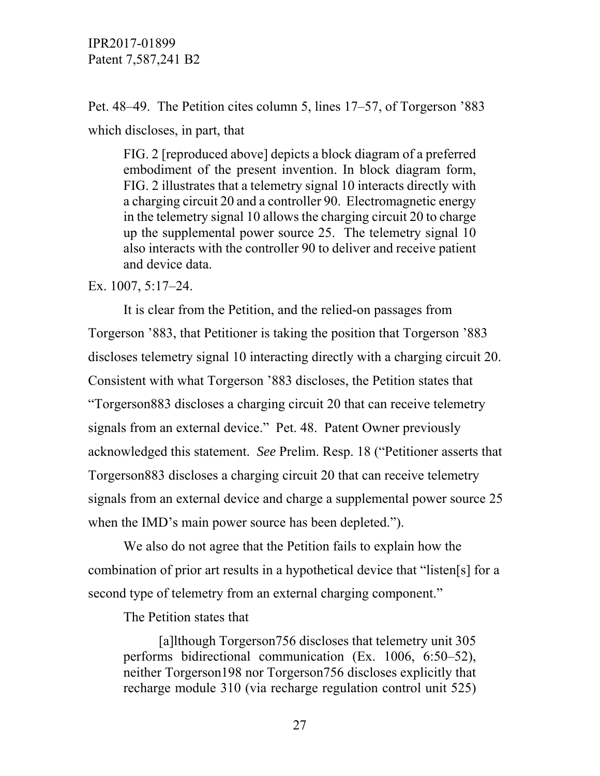Pet. 48–49. The Petition cites column 5, lines 17–57, of Torgerson '883 which discloses, in part, that

FIG. 2 [reproduced above] depicts a block diagram of a preferred embodiment of the present invention. In block diagram form, FIG. 2 illustrates that a telemetry signal 10 interacts directly with a charging circuit 20 and a controller 90. Electromagnetic energy in the telemetry signal 10 allows the charging circuit 20 to charge up the supplemental power source 25. The telemetry signal 10 also interacts with the controller 90 to deliver and receive patient and device data.

Ex. 1007, 5:17–24.

 It is clear from the Petition, and the relied-on passages from Torgerson '883, that Petitioner is taking the position that Torgerson '883 discloses telemetry signal 10 interacting directly with a charging circuit 20. Consistent with what Torgerson '883 discloses, the Petition states that "Torgerson883 discloses a charging circuit 20 that can receive telemetry signals from an external device." Pet. 48. Patent Owner previously acknowledged this statement. *See* Prelim. Resp. 18 ("Petitioner asserts that Torgerson883 discloses a charging circuit 20 that can receive telemetry signals from an external device and charge a supplemental power source 25 when the IMD's main power source has been depleted.").

 We also do not agree that the Petition fails to explain how the combination of prior art results in a hypothetical device that "listen[s] for a second type of telemetry from an external charging component."

The Petition states that

 [a]lthough Torgerson756 discloses that telemetry unit 305 performs bidirectional communication (Ex. 1006, 6:50–52), neither Torgerson198 nor Torgerson756 discloses explicitly that recharge module 310 (via recharge regulation control unit 525)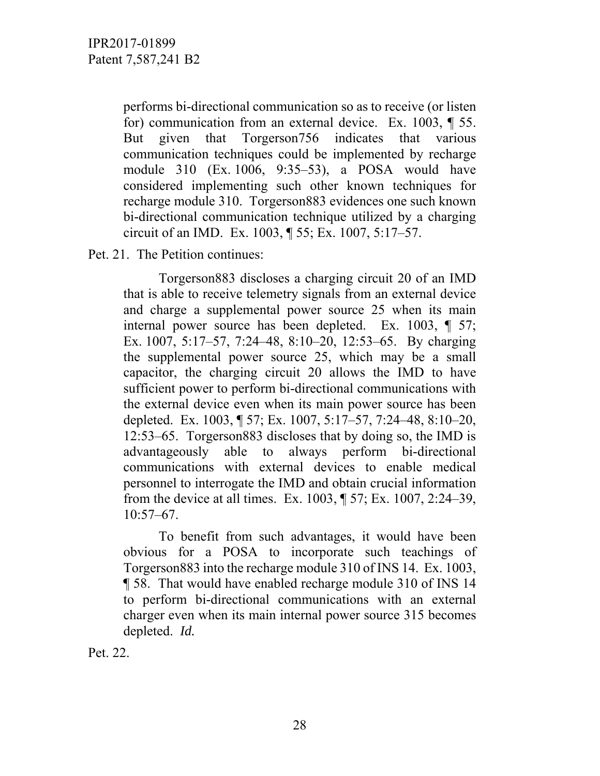performs bi-directional communication so as to receive (or listen for) communication from an external device. Ex. 1003, ¶ 55. But given that Torgerson756 indicates that various communication techniques could be implemented by recharge module 310 (Ex. 1006, 9:35–53), a POSA would have considered implementing such other known techniques for recharge module 310. Torgerson883 evidences one such known bi-directional communication technique utilized by a charging circuit of an IMD. Ex. 1003, ¶ 55; Ex. 1007, 5:17–57.

Pet. 21. The Petition continues:

 Torgerson883 discloses a charging circuit 20 of an IMD that is able to receive telemetry signals from an external device and charge a supplemental power source 25 when its main internal power source has been depleted. Ex. 1003, ¶ 57; Ex. 1007, 5:17–57, 7:24–48, 8:10–20, 12:53–65. By charging the supplemental power source 25, which may be a small capacitor, the charging circuit 20 allows the IMD to have sufficient power to perform bi-directional communications with the external device even when its main power source has been depleted. Ex. 1003, ¶ 57; Ex. 1007, 5:17–57, 7:24–48, 8:10–20, 12:53–65. Torgerson883 discloses that by doing so, the IMD is advantageously able to always perform bi-directional communications with external devices to enable medical personnel to interrogate the IMD and obtain crucial information from the device at all times. Ex. 1003, ¶ 57; Ex. 1007, 2:24–39, 10:57–67.

 To benefit from such advantages, it would have been obvious for a POSA to incorporate such teachings of Torgerson883 into the recharge module 310 of INS 14. Ex. 1003, ¶ 58. That would have enabled recharge module 310 of INS 14 to perform bi-directional communications with an external charger even when its main internal power source 315 becomes depleted. *Id.*

Pet. 22.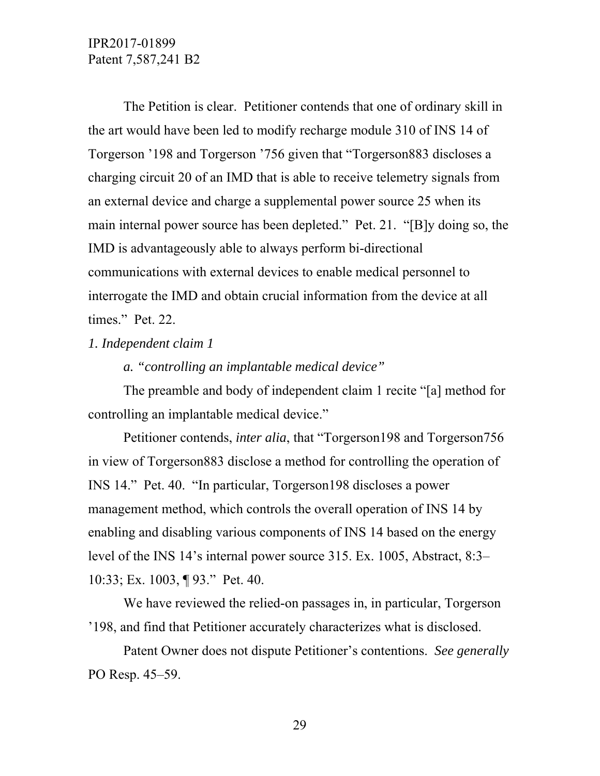The Petition is clear. Petitioner contends that one of ordinary skill in the art would have been led to modify recharge module 310 of INS 14 of Torgerson '198 and Torgerson '756 given that "Torgerson883 discloses a charging circuit 20 of an IMD that is able to receive telemetry signals from an external device and charge a supplemental power source 25 when its main internal power source has been depleted." Pet. 21. "[B]y doing so, the IMD is advantageously able to always perform bi-directional communications with external devices to enable medical personnel to interrogate the IMD and obtain crucial information from the device at all times." Pet. 22.

#### *1. Independent claim 1*

*a. "controlling an implantable medical device"* 

 The preamble and body of independent claim 1 recite "[a] method for controlling an implantable medical device."

 Petitioner contends, *inter alia*, that "Torgerson198 and Torgerson756 in view of Torgerson883 disclose a method for controlling the operation of INS 14." Pet. 40. "In particular, Torgerson198 discloses a power management method, which controls the overall operation of INS 14 by enabling and disabling various components of INS 14 based on the energy level of the INS 14's internal power source 315. Ex. 1005, Abstract, 8:3– 10:33; Ex. 1003, ¶ 93." Pet. 40.

 We have reviewed the relied-on passages in, in particular, Torgerson '198, and find that Petitioner accurately characterizes what is disclosed.

 Patent Owner does not dispute Petitioner's contentions. *See generally* PO Resp. 45–59.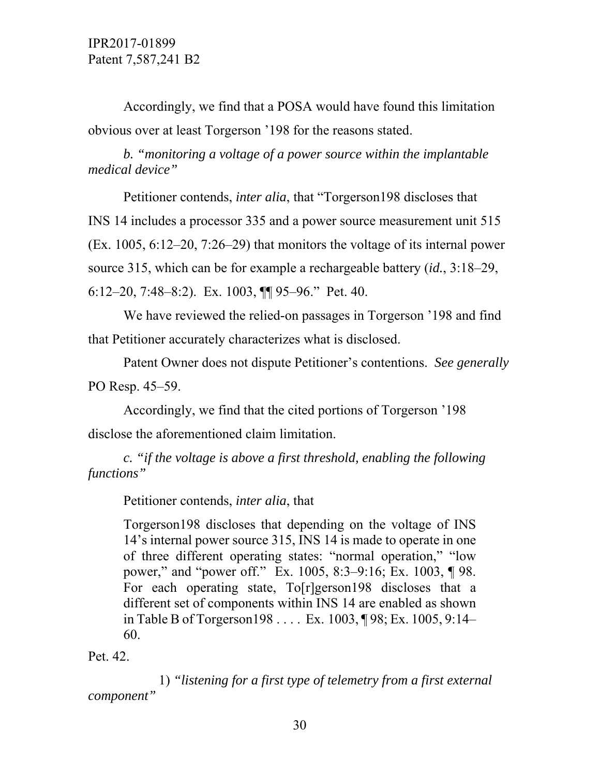Accordingly, we find that a POSA would have found this limitation obvious over at least Torgerson '198 for the reasons stated.

*b. "monitoring a voltage of a power source within the implantable medical device"* 

 Petitioner contends, *inter alia*, that "Torgerson198 discloses that INS 14 includes a processor 335 and a power source measurement unit 515 (Ex. 1005, 6:12–20, 7:26–29) that monitors the voltage of its internal power source 315, which can be for example a rechargeable battery (*id.*, 3:18–29, 6:12–20, 7:48–8:2). Ex. 1003, ¶¶ 95–96." Pet. 40.

 We have reviewed the relied-on passages in Torgerson '198 and find that Petitioner accurately characterizes what is disclosed.

 Patent Owner does not dispute Petitioner's contentions. *See generally* PO Resp. 45–59.

 Accordingly, we find that the cited portions of Torgerson '198 disclose the aforementioned claim limitation.

*c. "if the voltage is above a first threshold, enabling the following functions"* 

Petitioner contends, *inter alia*, that

Torgerson198 discloses that depending on the voltage of INS 14's internal power source 315, INS 14 is made to operate in one of three different operating states: "normal operation," "low power," and "power off." Ex. 1005, 8:3–9:16; Ex. 1003, ¶ 98. For each operating state, To[r]gerson198 discloses that a different set of components within INS 14 are enabled as shown in Table B of Torgerson198 . . . . Ex. 1003, ¶ 98; Ex. 1005, 9:14– 60.

Pet. 42.

 1) *"listening for a first type of telemetry from a first external component"*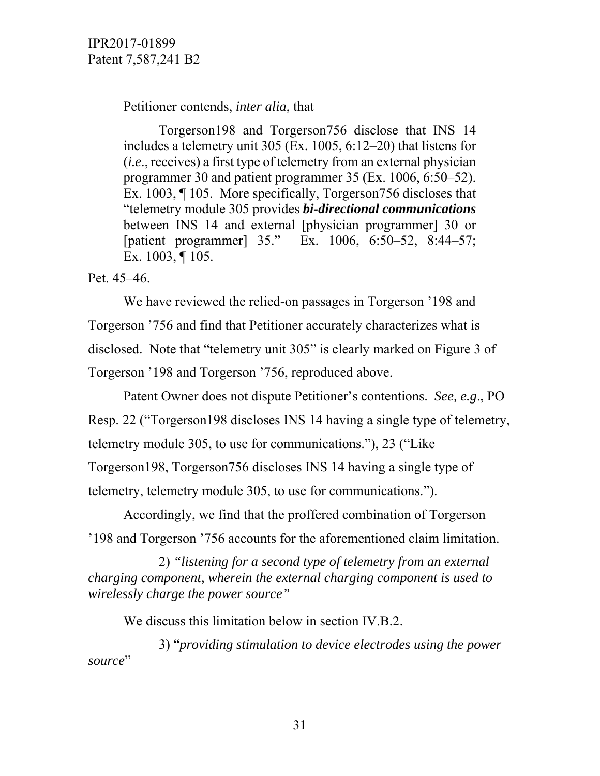Petitioner contends, *inter alia*, that

 Torgerson198 and Torgerson756 disclose that INS 14 includes a telemetry unit 305 (Ex. 1005, 6:12–20) that listens for (*i.e*., receives) a first type of telemetry from an external physician programmer 30 and patient programmer 35 (Ex. 1006, 6:50–52). Ex. 1003, ¶ 105. More specifically, Torgerson756 discloses that "telemetry module 305 provides *bi-directional communications* between INS 14 and external [physician programmer] 30 or [patient programmer] 35." Ex. 1006, 6:50–52, 8:44–57; Ex. 1003, ¶ 105.

Pet. 45–46.

 We have reviewed the relied-on passages in Torgerson '198 and Torgerson '756 and find that Petitioner accurately characterizes what is disclosed. Note that "telemetry unit 305" is clearly marked on Figure 3 of Torgerson '198 and Torgerson '756, reproduced above.

 Patent Owner does not dispute Petitioner's contentions. *See, e.g*., PO Resp. 22 ("Torgerson198 discloses INS 14 having a single type of telemetry, telemetry module 305, to use for communications."), 23 ("Like Torgerson198, Torgerson756 discloses INS 14 having a single type of telemetry, telemetry module 305, to use for communications.").

 Accordingly, we find that the proffered combination of Torgerson '198 and Torgerson '756 accounts for the aforementioned claim limitation.

 2) *"listening for a second type of telemetry from an external charging component, wherein the external charging component is used to wirelessly charge the power source"* 

We discuss this limitation below in section IV.B.2.

 3) "*providing stimulation to device electrodes using the power*  source"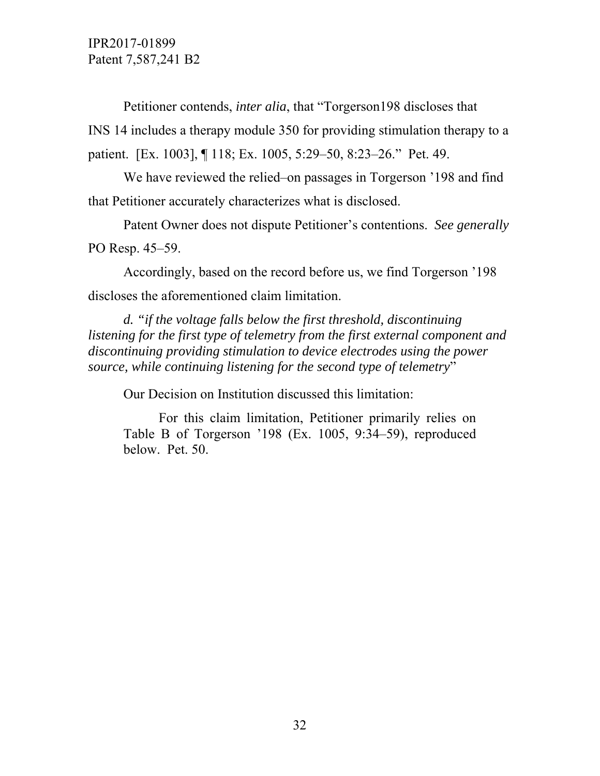Petitioner contends, *inter alia*, that "Torgerson198 discloses that INS 14 includes a therapy module 350 for providing stimulation therapy to a patient. [Ex. 1003], ¶ 118; Ex. 1005, 5:29–50, 8:23–26." Pet. 49.

 We have reviewed the relied–on passages in Torgerson '198 and find that Petitioner accurately characterizes what is disclosed.

 Patent Owner does not dispute Petitioner's contentions. *See generally* PO Resp. 45–59.

 Accordingly, based on the record before us, we find Torgerson '198 discloses the aforementioned claim limitation.

*d. "if the voltage falls below the first threshold, discontinuing listening for the first type of telemetry from the first external component and discontinuing providing stimulation to device electrodes using the power source, while continuing listening for the second type of telemetry*"

Our Decision on Institution discussed this limitation:

 For this claim limitation, Petitioner primarily relies on Table B of Torgerson '198 (Ex. 1005, 9:34–59), reproduced below. Pet. 50.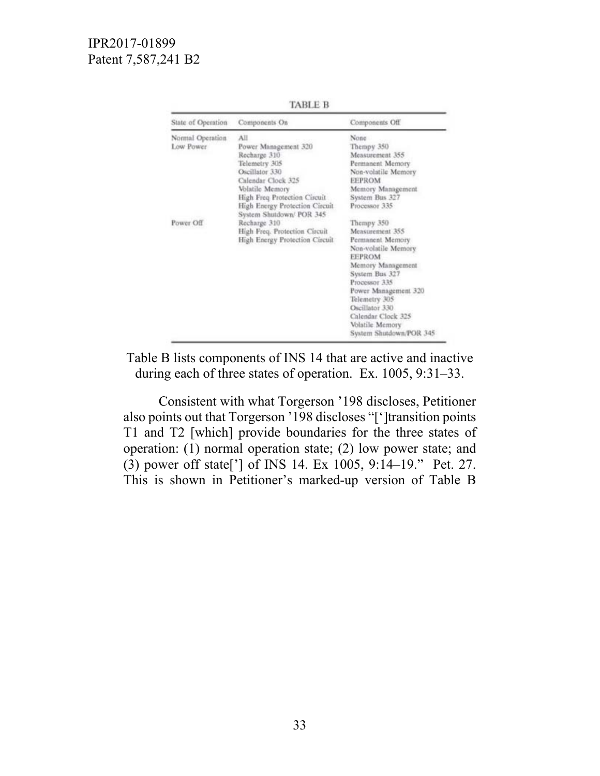| State of Operation | Components On                                              | Components Off          |
|--------------------|------------------------------------------------------------|-------------------------|
| Normal Operation   | All                                                        | None                    |
| Low Power          | Power Management 320                                       | Thempy 350              |
|                    | Recharge 310                                               | Measurement 355         |
|                    | Telemetry 305                                              | Permanent Memory        |
|                    | Oscillator 330                                             | Non-volatile Memory     |
|                    | Calendar Clock 325                                         | <b>EEPROM</b>           |
|                    | Volatile Memory                                            | Memory Management       |
|                    | High Freq Protection Circuit                               | System Bus 327          |
|                    | High Energy Protection Circuit<br>System Shutdown/ POR 345 | Processor 335           |
| Power Off          | Recharge 310                                               | Thempy 350              |
|                    | High Freq. Protection Circuit                              | Measurement 355         |
|                    | High Energy Protection Circuit                             | Permanent Memory        |
|                    |                                                            | Non-volatile Memory     |
|                    |                                                            | <b>EEPROM</b>           |
|                    |                                                            | Memory Management       |
|                    |                                                            | System Bus 327          |
|                    |                                                            | Processor 335           |
|                    |                                                            | Power Management 320    |
|                    |                                                            | Telemetry 305           |
|                    |                                                            | Oscillator 330          |
|                    |                                                            | Calendar Clock 325      |
|                    |                                                            | Volatile Memory         |
|                    |                                                            | System Shutdown/POR 345 |

**TABLE B** 

Table B lists components of INS 14 that are active and inactive during each of three states of operation. Ex. 1005, 9:31–33.

 Consistent with what Torgerson '198 discloses, Petitioner also points out that Torgerson '198 discloses "[']transition points T1 and T2 [which] provide boundaries for the three states of operation: (1) normal operation state; (2) low power state; and (3) power off state['] of INS 14. Ex 1005, 9:14–19." Pet. 27. This is shown in Petitioner's marked-up version of Table B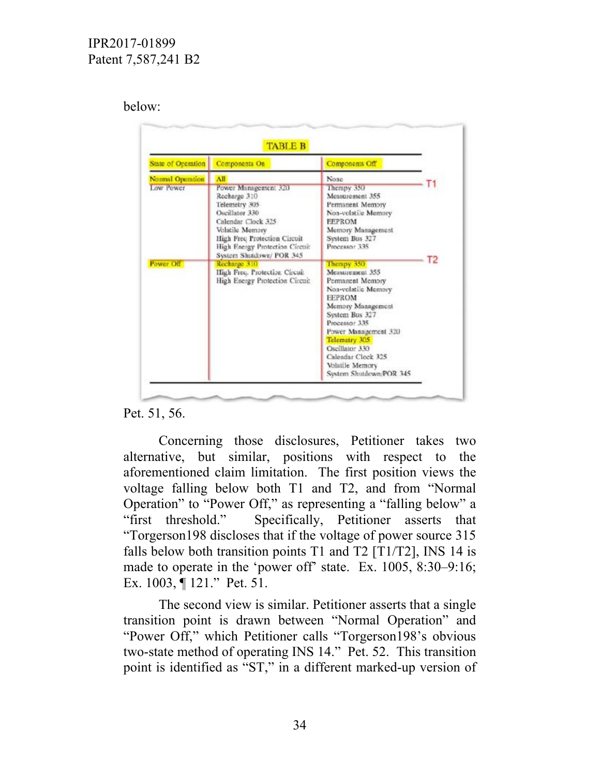### below:

| State of Oreration | Components On                                                                                                                                                                                                  | Components Off                                                                                                                                                                                                                                                                   |    |
|--------------------|----------------------------------------------------------------------------------------------------------------------------------------------------------------------------------------------------------------|----------------------------------------------------------------------------------------------------------------------------------------------------------------------------------------------------------------------------------------------------------------------------------|----|
| Normal Operation   | All                                                                                                                                                                                                            | None                                                                                                                                                                                                                                                                             |    |
| Low Power          | Power Management 320<br>Recharge 310<br>Telemetry 305<br>Oscillator 330<br>Calendar Clock 325<br>Volatile Memory<br>High Freq Protection Circuit<br>High Energy Protection Circuit<br>System Shutdown/ POR 345 | Therapy 350<br>Measurement 355<br>Permanent Memory<br>Non-volatile Memory<br><b>FEPROM</b><br>Memory Management<br>System Bus 327<br>Processor 335                                                                                                                               | Т2 |
| Power Off          | Recharge 310<br>High Freq. Protection Circuit<br>High Energy Protection Circuit                                                                                                                                | Thempy 350<br>Measurement 355<br>Permanent Memory<br>Non-volatile Memory<br><b>FEPROM</b><br>Memory Management<br>System Bus 327<br>Processor 335<br>Power Management 320<br>Telemetry 305<br>Oscillator 330<br>Calendar Cleck 325<br>Volatile Memory<br>System Shutdown/POR 345 |    |

### Pet. 51, 56.

 Concerning those disclosures, Petitioner takes two alternative, but similar, positions with respect to the aforementioned claim limitation. The first position views the voltage falling below both T1 and T2, and from "Normal Operation" to "Power Off," as representing a "falling below" a "first threshold." Specifically, Petitioner asserts that "Torgerson198 discloses that if the voltage of power source 315 falls below both transition points T1 and T2 [T1/T2], INS 14 is made to operate in the 'power off' state. Ex. 1005, 8:30–9:16; Ex. 1003, ¶ 121." Pet. 51.

 The second view is similar. Petitioner asserts that a single transition point is drawn between "Normal Operation" and "Power Off," which Petitioner calls "Torgerson198's obvious two-state method of operating INS 14." Pet. 52. This transition point is identified as "ST," in a different marked-up version of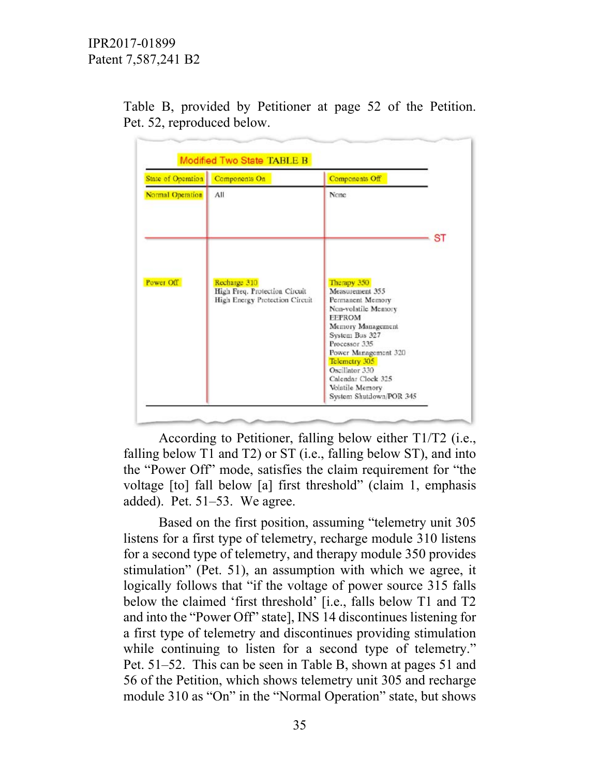| State of Operation | Components On                                                                   | Components Off                                                                                      |           |
|--------------------|---------------------------------------------------------------------------------|-----------------------------------------------------------------------------------------------------|-----------|
| Normal Operation   | All                                                                             | None                                                                                                |           |
|                    |                                                                                 |                                                                                                     | <b>ST</b> |
| Power Off          | Recharge 310<br>High Freq. Protection Circuit<br>High Energy Protection Circuit | Therapy 350<br>Measurement 355<br>Permanent Memory<br>Non-volatile Memory                           |           |
|                    |                                                                                 | <b>EEPROM</b><br>Memory Management<br>System Bus 327<br>Processor 335<br>Power Management 320       |           |
|                    |                                                                                 | Telemetry 305<br>Oscillator 330<br>Calendar Clock 325<br>Volatile Memory<br>System Shutdown/POR 345 |           |

Table B, provided by Petitioner at page 52 of the Petition. Pet. 52, reproduced below.

 According to Petitioner, falling below either T1/T2 (i.e., falling below T1 and T2) or ST (i.e., falling below ST), and into the "Power Off" mode, satisfies the claim requirement for "the voltage [to] fall below [a] first threshold" (claim 1, emphasis added). Pet. 51–53. We agree.

 Based on the first position, assuming "telemetry unit 305 listens for a first type of telemetry, recharge module 310 listens for a second type of telemetry, and therapy module 350 provides stimulation" (Pet. 51), an assumption with which we agree, it logically follows that "if the voltage of power source 315 falls" below the claimed 'first threshold' [i.e., falls below T1 and T2 and into the "Power Off" state], INS 14 discontinues listening for a first type of telemetry and discontinues providing stimulation while continuing to listen for a second type of telemetry." Pet. 51–52. This can be seen in Table B, shown at pages 51 and 56 of the Petition, which shows telemetry unit 305 and recharge module 310 as "On" in the "Normal Operation" state, but shows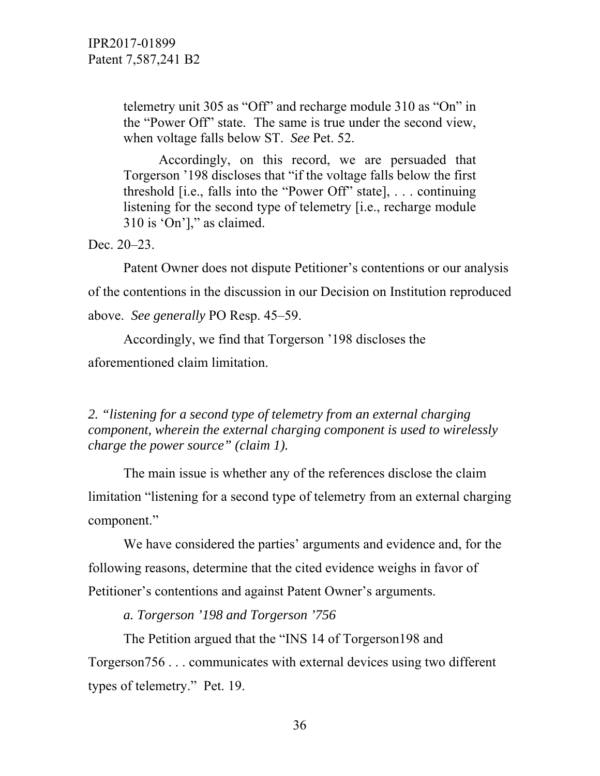telemetry unit 305 as "Off" and recharge module 310 as "On" in the "Power Off" state. The same is true under the second view, when voltage falls below ST. *See* Pet. 52.

 Accordingly, on this record, we are persuaded that Torgerson '198 discloses that "if the voltage falls below the first threshold [i.e., falls into the "Power Off" state], . . . continuing listening for the second type of telemetry [i.e., recharge module 310 is 'On']," as claimed.

Dec. 20–23.

 Patent Owner does not dispute Petitioner's contentions or our analysis of the contentions in the discussion in our Decision on Institution reproduced above. *See generally* PO Resp. 45–59.

 Accordingly, we find that Torgerson '198 discloses the aforementioned claim limitation.

*2. "listening for a second type of telemetry from an external charging component, wherein the external charging component is used to wirelessly charge the power source" (claim 1).* 

 The main issue is whether any of the references disclose the claim limitation "listening for a second type of telemetry from an external charging component."

 We have considered the parties' arguments and evidence and, for the following reasons, determine that the cited evidence weighs in favor of Petitioner's contentions and against Patent Owner's arguments.

*a. Torgerson '198 and Torgerson '756* 

 The Petition argued that the "INS 14 of Torgerson198 and Torgerson756 . . . communicates with external devices using two different types of telemetry." Pet. 19.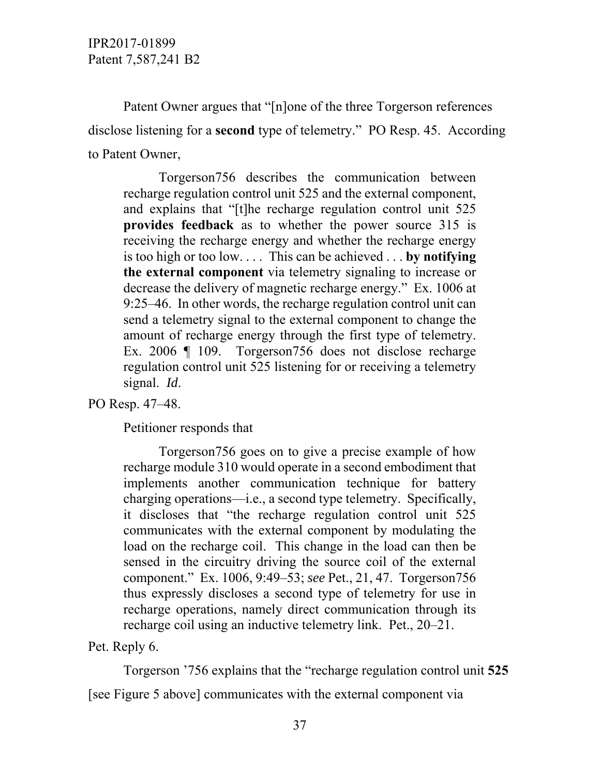Patent Owner argues that "[n]one of the three Torgerson references disclose listening for a **second** type of telemetry." PO Resp. 45. According to Patent Owner,

 Torgerson756 describes the communication between recharge regulation control unit 525 and the external component, and explains that "[t]he recharge regulation control unit 525 **provides feedback** as to whether the power source 315 is receiving the recharge energy and whether the recharge energy is too high or too low. . . . This can be achieved . . . **by notifying the external component** via telemetry signaling to increase or decrease the delivery of magnetic recharge energy." Ex. 1006 at 9:25–46. In other words, the recharge regulation control unit can send a telemetry signal to the external component to change the amount of recharge energy through the first type of telemetry. Ex. 2006 | 109. Torgerson 756 does not disclose recharge regulation control unit 525 listening for or receiving a telemetry signal. *Id*.

PO Resp. 47–48.

Petitioner responds that

 Torgerson756 goes on to give a precise example of how recharge module 310 would operate in a second embodiment that implements another communication technique for battery charging operations—i.e., a second type telemetry. Specifically, it discloses that "the recharge regulation control unit 525 communicates with the external component by modulating the load on the recharge coil. This change in the load can then be sensed in the circuitry driving the source coil of the external component." Ex. 1006, 9:49–53; *see* Pet., 21, 47. Torgerson756 thus expressly discloses a second type of telemetry for use in recharge operations, namely direct communication through its recharge coil using an inductive telemetry link. Pet., 20–21.

Pet. Reply 6.

Torgerson '756 explains that the "recharge regulation control unit **525**

[see Figure 5 above] communicates with the external component via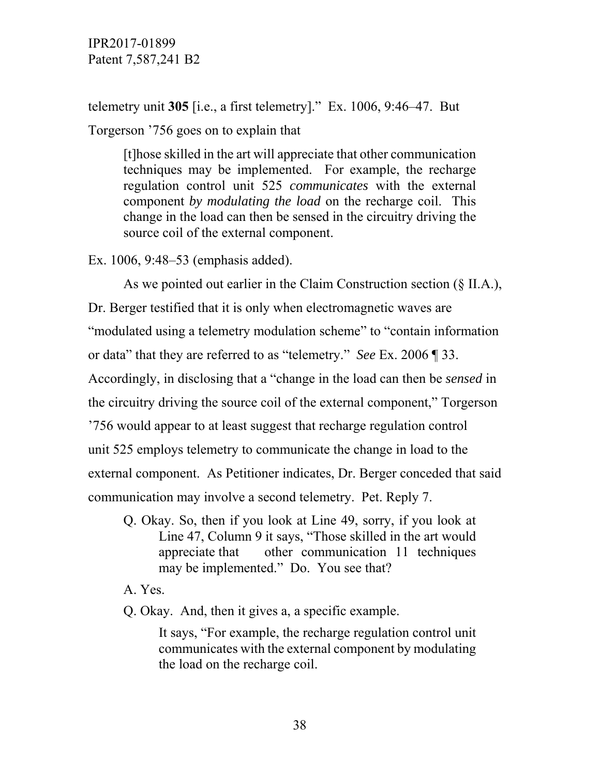telemetry unit **305** [i.e., a first telemetry]." Ex. 1006, 9:46–47. But Torgerson '756 goes on to explain that

[t]hose skilled in the art will appreciate that other communication techniques may be implemented. For example, the recharge regulation control unit 525 *communicates* with the external component *by modulating the load* on the recharge coil. This change in the load can then be sensed in the circuitry driving the source coil of the external component.

Ex. 1006, 9:48–53 (emphasis added).

 As we pointed out earlier in the Claim Construction section (§ II.A.), Dr. Berger testified that it is only when electromagnetic waves are "modulated using a telemetry modulation scheme" to "contain information or data" that they are referred to as "telemetry." *See* Ex. 2006 ¶ 33. Accordingly, in disclosing that a "change in the load can then be *sensed* in the circuitry driving the source coil of the external component," Torgerson '756 would appear to at least suggest that recharge regulation control unit 525 employs telemetry to communicate the change in load to the external component. As Petitioner indicates, Dr. Berger conceded that said communication may involve a second telemetry. Pet. Reply 7.

Q. Okay. So, then if you look at Line 49, sorry, if you look at Line 47, Column 9 it says, "Those skilled in the art would appreciate that other communication 11 techniques may be implemented." Do. You see that?

A. Yes.

Q. Okay. And, then it gives a, a specific example.

 It says, "For example, the recharge regulation control unit communicates with the external component by modulating the load on the recharge coil.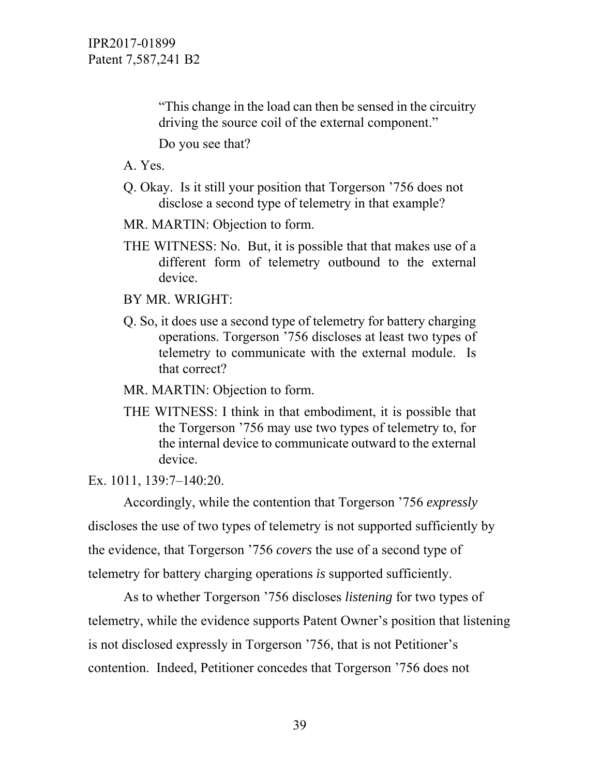"This change in the load can then be sensed in the circuitry driving the source coil of the external component."

Do you see that?

A. Yes.

- Q. Okay. Is it still your position that Torgerson '756 does not disclose a second type of telemetry in that example?
- MR. MARTIN: Objection to form.
- THE WITNESS: No. But, it is possible that that makes use of a different form of telemetry outbound to the external device.

BY MR. WRIGHT:

Q. So, it does use a second type of telemetry for battery charging operations. Torgerson '756 discloses at least two types of telemetry to communicate with the external module. Is that correct?

MR. MARTIN: Objection to form.

THE WITNESS: I think in that embodiment, it is possible that the Torgerson '756 may use two types of telemetry to, for the internal device to communicate outward to the external device.

Ex. 1011, 139:7–140:20.

 Accordingly, while the contention that Torgerson '756 *expressly* discloses the use of two types of telemetry is not supported sufficiently by the evidence, that Torgerson '756 *covers* the use of a second type of telemetry for battery charging operations *is* supported sufficiently.

 As to whether Torgerson '756 discloses *listening* for two types of telemetry, while the evidence supports Patent Owner's position that listening is not disclosed expressly in Torgerson '756, that is not Petitioner's contention. Indeed, Petitioner concedes that Torgerson '756 does not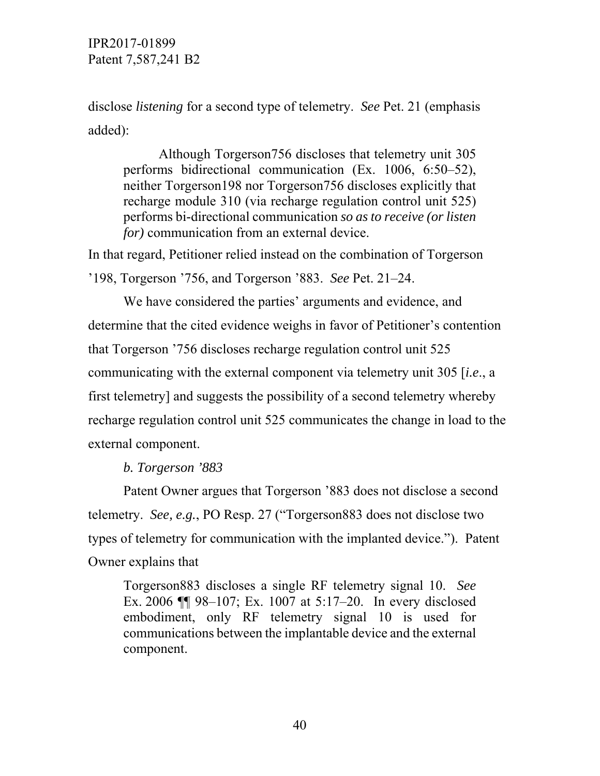disclose *listening* for a second type of telemetry. *See* Pet. 21 (emphasis added):

 Although Torgerson756 discloses that telemetry unit 305 performs bidirectional communication (Ex. 1006, 6:50–52), neither Torgerson198 nor Torgerson756 discloses explicitly that recharge module 310 (via recharge regulation control unit 525) performs bi-directional communication *so as to receive (or listen for*) communication from an external device.

In that regard, Petitioner relied instead on the combination of Torgerson '198, Torgerson '756, and Torgerson '883. *See* Pet. 21–24.

 We have considered the parties' arguments and evidence, and determine that the cited evidence weighs in favor of Petitioner's contention that Torgerson '756 discloses recharge regulation control unit 525 communicating with the external component via telemetry unit 305 [*i.e*., a first telemetry] and suggests the possibility of a second telemetry whereby recharge regulation control unit 525 communicates the change in load to the external component.

*b. Torgerson '883* 

 Patent Owner argues that Torgerson '883 does not disclose a second telemetry. *See, e.g.*, PO Resp. 27 ("Torgerson883 does not disclose two types of telemetry for communication with the implanted device."). Patent Owner explains that

Torgerson883 discloses a single RF telemetry signal 10. *See* Ex. 2006 ¶¶ 98–107; Ex. 1007 at 5:17–20. In every disclosed embodiment, only RF telemetry signal 10 is used for communications between the implantable device and the external component.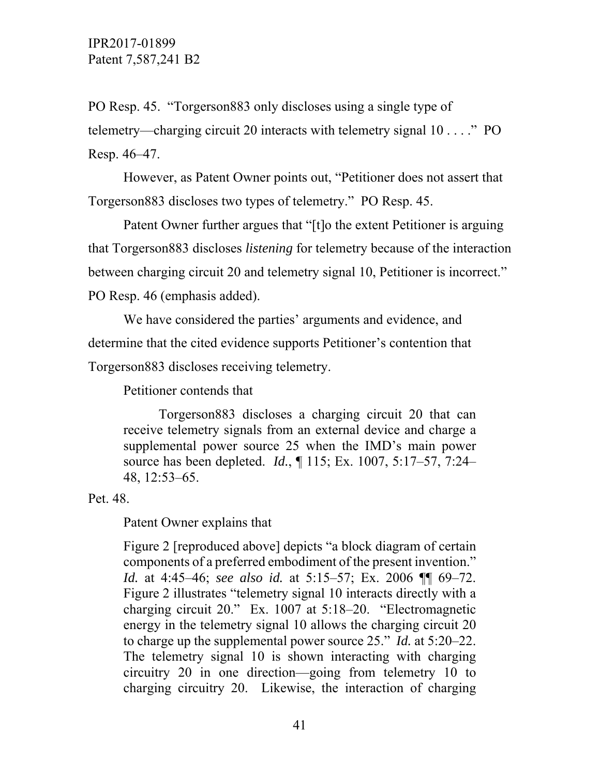PO Resp. 45. "Torgerson883 only discloses using a single type of telemetry—charging circuit 20 interacts with telemetry signal 10 . . . ." PO Resp. 46–47.

 However, as Patent Owner points out, "Petitioner does not assert that Torgerson883 discloses two types of telemetry." PO Resp. 45.

 Patent Owner further argues that "[t]o the extent Petitioner is arguing that Torgerson883 discloses *listening* for telemetry because of the interaction between charging circuit 20 and telemetry signal 10, Petitioner is incorrect." PO Resp. 46 (emphasis added).

 We have considered the parties' arguments and evidence, and determine that the cited evidence supports Petitioner's contention that Torgerson883 discloses receiving telemetry.

Petitioner contends that

 Torgerson883 discloses a charging circuit 20 that can receive telemetry signals from an external device and charge a supplemental power source 25 when the IMD's main power source has been depleted. *Id.*, ¶ 115; Ex. 1007, 5:17–57, 7:24– 48, 12:53–65.

Pet. 48.

Patent Owner explains that

Figure 2 [reproduced above] depicts "a block diagram of certain components of a preferred embodiment of the present invention." *Id.* at 4:45–46; *see also id.* at 5:15–57; Ex. 2006 ¶¶ 69–72. Figure 2 illustrates "telemetry signal 10 interacts directly with a charging circuit 20." Ex. 1007 at 5:18–20. "Electromagnetic energy in the telemetry signal 10 allows the charging circuit 20 to charge up the supplemental power source 25." *Id.* at 5:20–22. The telemetry signal 10 is shown interacting with charging circuitry 20 in one direction—going from telemetry 10 to charging circuitry 20. Likewise, the interaction of charging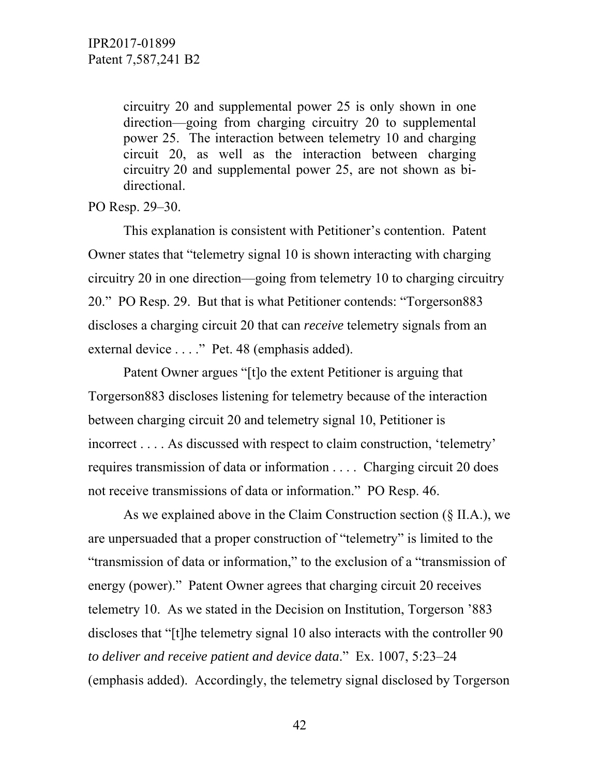circuitry 20 and supplemental power 25 is only shown in one direction—going from charging circuitry 20 to supplemental power 25. The interaction between telemetry 10 and charging circuit 20, as well as the interaction between charging circuitry 20 and supplemental power 25, are not shown as bidirectional.

### PO Resp. 29–30.

 This explanation is consistent with Petitioner's contention. Patent Owner states that "telemetry signal 10 is shown interacting with charging circuitry 20 in one direction—going from telemetry 10 to charging circuitry 20." PO Resp. 29. But that is what Petitioner contends: "Torgerson883 discloses a charging circuit 20 that can *receive* telemetry signals from an external device . . . ." Pet. 48 (emphasis added).

 Patent Owner argues "[t]o the extent Petitioner is arguing that Torgerson883 discloses listening for telemetry because of the interaction between charging circuit 20 and telemetry signal 10, Petitioner is incorrect . . . . As discussed with respect to claim construction, 'telemetry' requires transmission of data or information . . . . Charging circuit 20 does not receive transmissions of data or information." PO Resp. 46.

 As we explained above in the Claim Construction section (§ II.A.), we are unpersuaded that a proper construction of "telemetry" is limited to the "transmission of data or information," to the exclusion of a "transmission of energy (power)." Patent Owner agrees that charging circuit 20 receives telemetry 10. As we stated in the Decision on Institution, Torgerson '883 discloses that "[t]he telemetry signal 10 also interacts with the controller 90 *to deliver and receive patient and device data*." Ex. 1007, 5:23–24 (emphasis added). Accordingly, the telemetry signal disclosed by Torgerson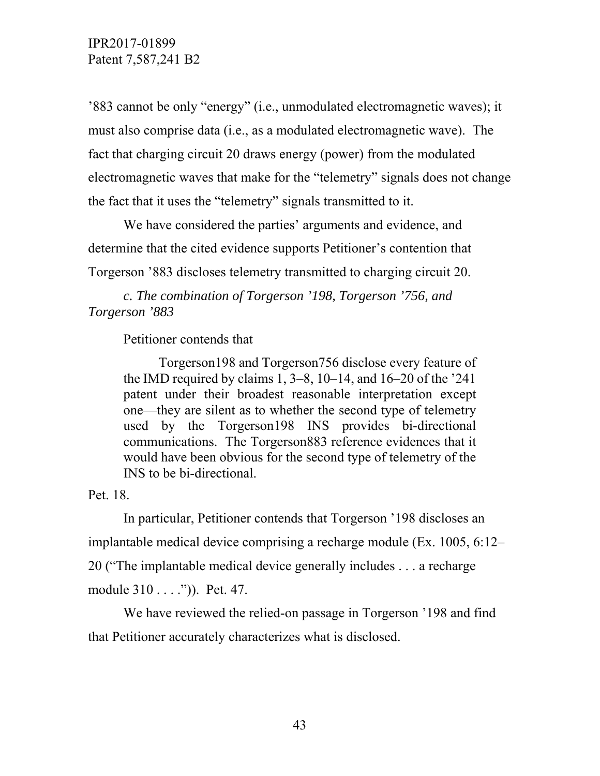'883 cannot be only "energy" (i.e., unmodulated electromagnetic waves); it must also comprise data (i.e., as a modulated electromagnetic wave). The fact that charging circuit 20 draws energy (power) from the modulated electromagnetic waves that make for the "telemetry" signals does not change the fact that it uses the "telemetry" signals transmitted to it.

 We have considered the parties' arguments and evidence, and determine that the cited evidence supports Petitioner's contention that Torgerson '883 discloses telemetry transmitted to charging circuit 20.

 *c. The combination of Torgerson '198, Torgerson '756, and Torgerson '883* 

Petitioner contends that

 Torgerson198 and Torgerson756 disclose every feature of the IMD required by claims  $1, 3-8, 10-14$ , and  $16-20$  of the  $241$ patent under their broadest reasonable interpretation except one—they are silent as to whether the second type of telemetry used by the Torgerson198 INS provides bi-directional communications. The Torgerson883 reference evidences that it would have been obvious for the second type of telemetry of the INS to be bi-directional.

Pet. 18.

 In particular, Petitioner contends that Torgerson '198 discloses an implantable medical device comprising a recharge module (Ex. 1005, 6:12– 20 ("The implantable medical device generally includes . . . a recharge module 310 . . . .")). Pet. 47.

 We have reviewed the relied-on passage in Torgerson '198 and find that Petitioner accurately characterizes what is disclosed.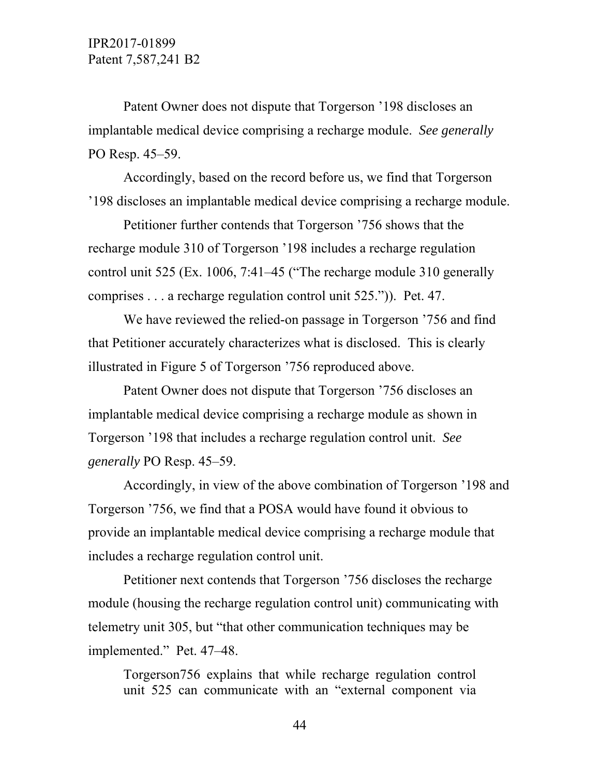Patent Owner does not dispute that Torgerson '198 discloses an implantable medical device comprising a recharge module. *See generally* PO Resp. 45–59.

 Accordingly, based on the record before us, we find that Torgerson '198 discloses an implantable medical device comprising a recharge module.

 Petitioner further contends that Torgerson '756 shows that the recharge module 310 of Torgerson '198 includes a recharge regulation control unit 525 (Ex. 1006, 7:41–45 ("The recharge module 310 generally comprises . . . a recharge regulation control unit 525.")). Pet. 47.

 We have reviewed the relied-on passage in Torgerson '756 and find that Petitioner accurately characterizes what is disclosed. This is clearly illustrated in Figure 5 of Torgerson '756 reproduced above.

 Patent Owner does not dispute that Torgerson '756 discloses an implantable medical device comprising a recharge module as shown in Torgerson '198 that includes a recharge regulation control unit. *See generally* PO Resp. 45–59.

 Accordingly, in view of the above combination of Torgerson '198 and Torgerson '756, we find that a POSA would have found it obvious to provide an implantable medical device comprising a recharge module that includes a recharge regulation control unit.

 Petitioner next contends that Torgerson '756 discloses the recharge module (housing the recharge regulation control unit) communicating with telemetry unit 305, but "that other communication techniques may be implemented." Pet. 47–48.

Torgerson756 explains that while recharge regulation control unit 525 can communicate with an "external component via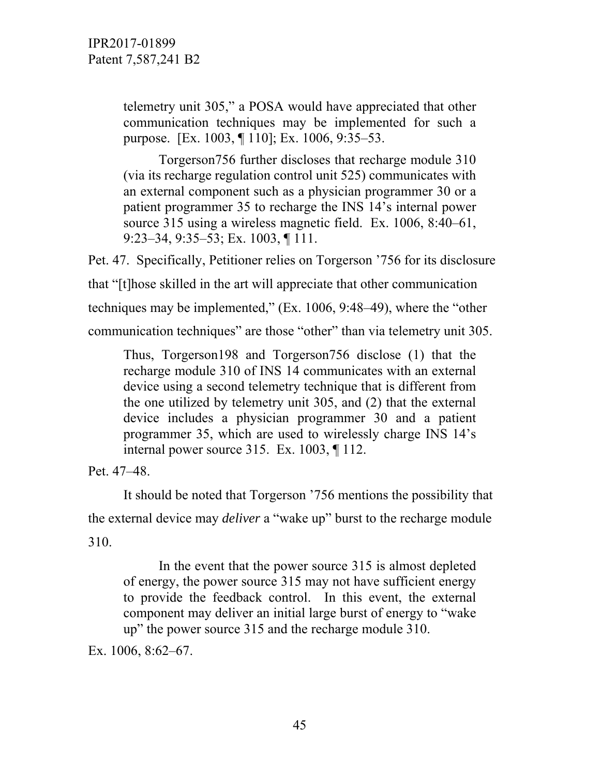telemetry unit 305," a POSA would have appreciated that other communication techniques may be implemented for such a purpose. [Ex. 1003, ¶ 110]; Ex. 1006, 9:35–53.

 Torgerson756 further discloses that recharge module 310 (via its recharge regulation control unit 525) communicates with an external component such as a physician programmer 30 or a patient programmer 35 to recharge the INS 14's internal power source 315 using a wireless magnetic field. Ex. 1006, 8:40–61, 9:23–34, 9:35–53; Ex. 1003, ¶ 111.

Pet. 47. Specifically, Petitioner relies on Torgerson '756 for its disclosure that "[t]hose skilled in the art will appreciate that other communication techniques may be implemented," (Ex. 1006, 9:48–49), where the "other communication techniques" are those "other" than via telemetry unit 305.

Thus, Torgerson198 and Torgerson756 disclose (1) that the recharge module 310 of INS 14 communicates with an external device using a second telemetry technique that is different from the one utilized by telemetry unit 305, and (2) that the external device includes a physician programmer 30 and a patient programmer 35, which are used to wirelessly charge INS 14's internal power source 315. Ex. 1003, ¶ 112.

Pet. 47–48.

 It should be noted that Torgerson '756 mentions the possibility that the external device may *deliver* a "wake up" burst to the recharge module 310.

 In the event that the power source 315 is almost depleted of energy, the power source 315 may not have sufficient energy to provide the feedback control. In this event, the external component may deliver an initial large burst of energy to "wake up" the power source 315 and the recharge module 310.

Ex. 1006, 8:62–67.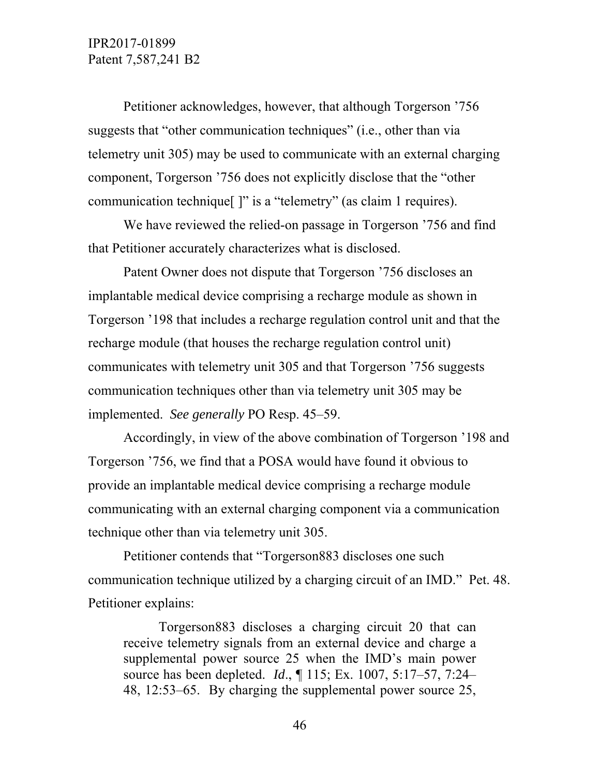Petitioner acknowledges, however, that although Torgerson '756 suggests that "other communication techniques" (i.e., other than via telemetry unit 305) may be used to communicate with an external charging component, Torgerson '756 does not explicitly disclose that the "other communication technique[ ]" is a "telemetry" (as claim 1 requires).

 We have reviewed the relied-on passage in Torgerson '756 and find that Petitioner accurately characterizes what is disclosed.

 Patent Owner does not dispute that Torgerson '756 discloses an implantable medical device comprising a recharge module as shown in Torgerson '198 that includes a recharge regulation control unit and that the recharge module (that houses the recharge regulation control unit) communicates with telemetry unit 305 and that Torgerson '756 suggests communication techniques other than via telemetry unit 305 may be implemented. *See generally* PO Resp. 45–59.

 Accordingly, in view of the above combination of Torgerson '198 and Torgerson '756, we find that a POSA would have found it obvious to provide an implantable medical device comprising a recharge module communicating with an external charging component via a communication technique other than via telemetry unit 305.

 Petitioner contends that "Torgerson883 discloses one such communication technique utilized by a charging circuit of an IMD." Pet. 48. Petitioner explains:

 Torgerson883 discloses a charging circuit 20 that can receive telemetry signals from an external device and charge a supplemental power source 25 when the IMD's main power source has been depleted. *Id*., ¶ 115; Ex. 1007, 5:17–57, 7:24– 48, 12:53–65. By charging the supplemental power source 25,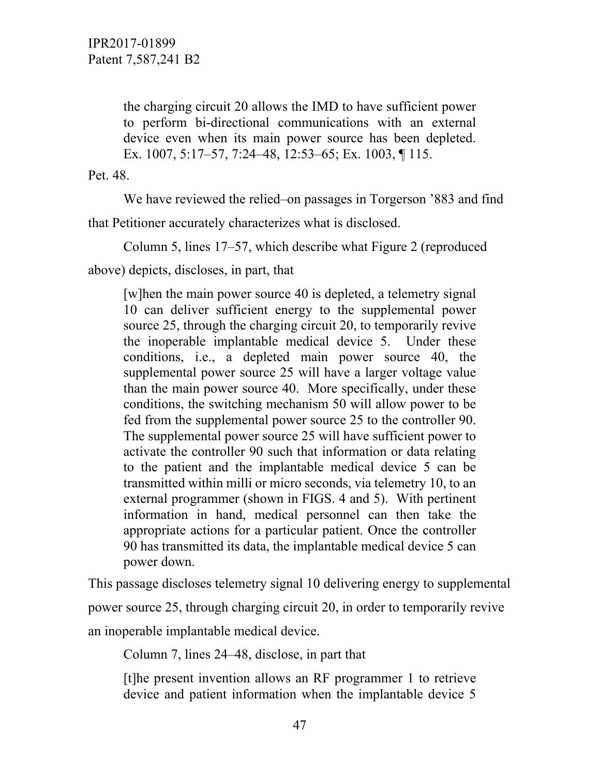the charging circuit 20 allows the IMD to have sufficient power to perform bi-directional communications with an external device even when its main power source has been depleted. Ex. 1007, 5:17–57, 7:24–48, 12:53–65; Ex. 1003, ¶ 115.

Pet. 48.

We have reviewed the relied–on passages in Torgerson '883 and find

that Petitioner accurately characterizes what is disclosed.

Column 5, lines 17–57, which describe what Figure 2 (reproduced

above) depicts, discloses, in part, that

[w]hen the main power source 40 is depleted, a telemetry signal 10 can deliver sufficient energy to the supplemental power source 25, through the charging circuit 20, to temporarily revive the inoperable implantable medical device 5. Under these conditions, i.e., a depleted main power source 40, the supplemental power source 25 will have a larger voltage value than the main power source 40. More specifically, under these conditions, the switching mechanism 50 will allow power to be fed from the supplemental power source 25 to the controller 90. The supplemental power source 25 will have sufficient power to activate the controller 90 such that information or data relating to the patient and the implantable medical device 5 can be transmitted within milli or micro seconds, via telemetry 10, to an external programmer (shown in FIGS. 4 and 5). With pertinent information in hand, medical personnel can then take the appropriate actions for a particular patient. Once the controller 90 has transmitted its data, the implantable medical device 5 can power down.

This passage discloses telemetry signal 10 delivering energy to supplemental power source 25, through charging circuit 20, in order to temporarily revive an inoperable implantable medical device.

Column 7, lines 24–48, disclose, in part that

[t]he present invention allows an RF programmer 1 to retrieve device and patient information when the implantable device 5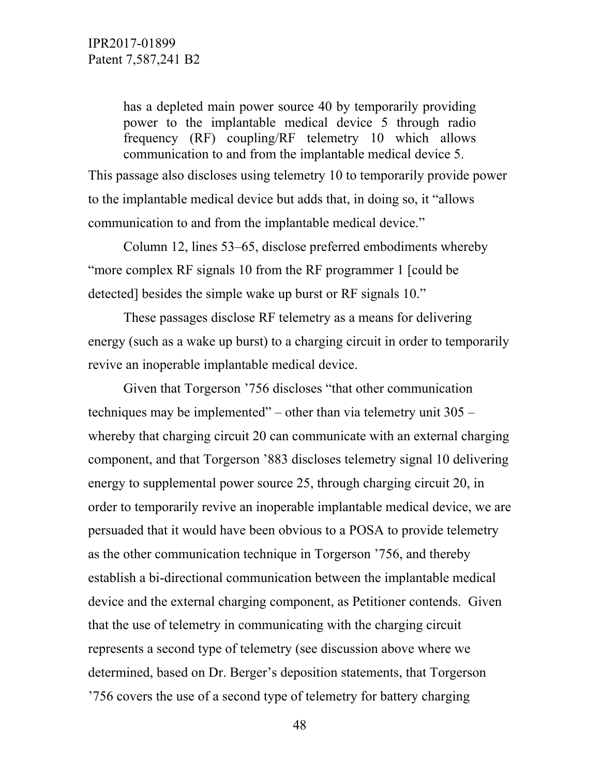has a depleted main power source 40 by temporarily providing power to the implantable medical device 5 through radio frequency (RF) coupling/RF telemetry 10 which allows communication to and from the implantable medical device 5.

This passage also discloses using telemetry 10 to temporarily provide power to the implantable medical device but adds that, in doing so, it "allows communication to and from the implantable medical device."

 Column 12, lines 53–65, disclose preferred embodiments whereby "more complex RF signals 10 from the RF programmer 1 [could be detected] besides the simple wake up burst or RF signals 10."

 These passages disclose RF telemetry as a means for delivering energy (such as a wake up burst) to a charging circuit in order to temporarily revive an inoperable implantable medical device.

 Given that Torgerson '756 discloses "that other communication techniques may be implemented" – other than via telemetry unit 305 – whereby that charging circuit 20 can communicate with an external charging component, and that Torgerson '883 discloses telemetry signal 10 delivering energy to supplemental power source 25, through charging circuit 20, in order to temporarily revive an inoperable implantable medical device, we are persuaded that it would have been obvious to a POSA to provide telemetry as the other communication technique in Torgerson '756, and thereby establish a bi-directional communication between the implantable medical device and the external charging component, as Petitioner contends. Given that the use of telemetry in communicating with the charging circuit represents a second type of telemetry (see discussion above where we determined, based on Dr. Berger's deposition statements, that Torgerson '756 covers the use of a second type of telemetry for battery charging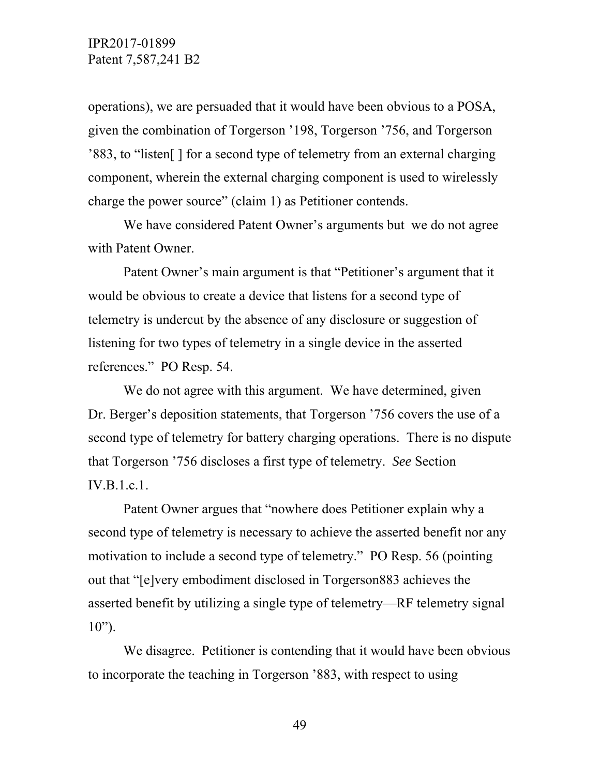operations), we are persuaded that it would have been obvious to a POSA, given the combination of Torgerson '198, Torgerson '756, and Torgerson '883, to "listen[ ] for a second type of telemetry from an external charging component, wherein the external charging component is used to wirelessly charge the power source" (claim 1) as Petitioner contends.

 We have considered Patent Owner's arguments but we do not agree with Patent Owner.

 Patent Owner's main argument is that "Petitioner's argument that it would be obvious to create a device that listens for a second type of telemetry is undercut by the absence of any disclosure or suggestion of listening for two types of telemetry in a single device in the asserted references." PO Resp. 54.

 We do not agree with this argument. We have determined, given Dr. Berger's deposition statements, that Torgerson '756 covers the use of a second type of telemetry for battery charging operations. There is no dispute that Torgerson '756 discloses a first type of telemetry. *See* Section IV.B.1.c.1.

 Patent Owner argues that "nowhere does Petitioner explain why a second type of telemetry is necessary to achieve the asserted benefit nor any motivation to include a second type of telemetry." PO Resp. 56 (pointing out that "[e]very embodiment disclosed in Torgerson883 achieves the asserted benefit by utilizing a single type of telemetry—RF telemetry signal  $10"$ ).

 We disagree. Petitioner is contending that it would have been obvious to incorporate the teaching in Torgerson '883, with respect to using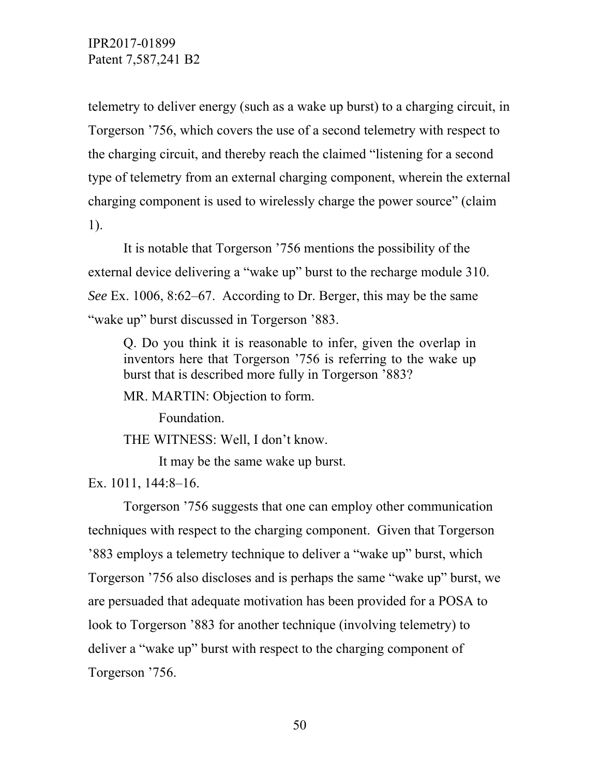telemetry to deliver energy (such as a wake up burst) to a charging circuit, in Torgerson '756, which covers the use of a second telemetry with respect to the charging circuit, and thereby reach the claimed "listening for a second type of telemetry from an external charging component, wherein the external charging component is used to wirelessly charge the power source" (claim 1).

 It is notable that Torgerson '756 mentions the possibility of the external device delivering a "wake up" burst to the recharge module 310. *See* Ex. 1006, 8:62–67. According to Dr. Berger, this may be the same "wake up" burst discussed in Torgerson '883.

Q. Do you think it is reasonable to infer, given the overlap in inventors here that Torgerson '756 is referring to the wake up burst that is described more fully in Torgerson '883?

MR. MARTIN: Objection to form.

Foundation.

THE WITNESS: Well, I don't know.

It may be the same wake up burst.

Ex. 1011, 144:8–16.

 Torgerson '756 suggests that one can employ other communication techniques with respect to the charging component. Given that Torgerson '883 employs a telemetry technique to deliver a "wake up" burst, which Torgerson '756 also discloses and is perhaps the same "wake up" burst, we are persuaded that adequate motivation has been provided for a POSA to look to Torgerson '883 for another technique (involving telemetry) to deliver a "wake up" burst with respect to the charging component of Torgerson '756.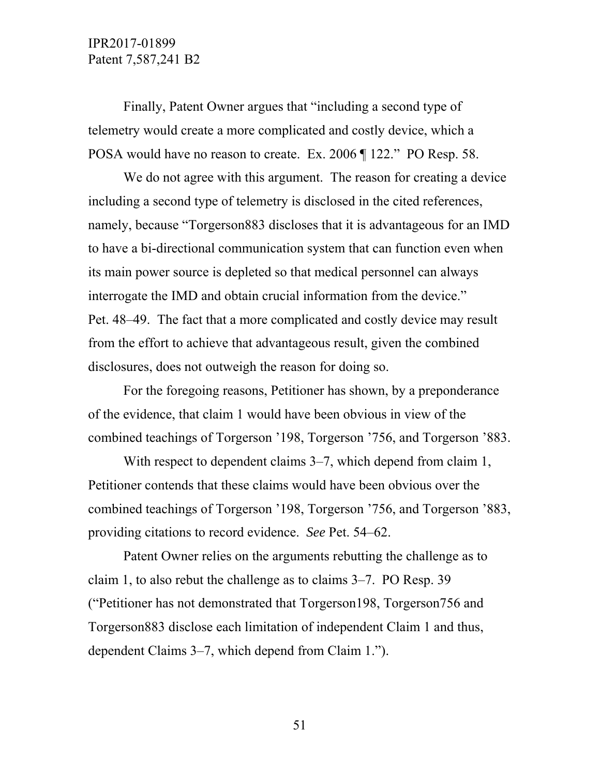Finally, Patent Owner argues that "including a second type of telemetry would create a more complicated and costly device, which a POSA would have no reason to create. Ex. 2006 ¶ 122." PO Resp. 58.

We do not agree with this argument. The reason for creating a device including a second type of telemetry is disclosed in the cited references, namely, because "Torgerson883 discloses that it is advantageous for an IMD to have a bi-directional communication system that can function even when its main power source is depleted so that medical personnel can always interrogate the IMD and obtain crucial information from the device." Pet. 48–49. The fact that a more complicated and costly device may result from the effort to achieve that advantageous result, given the combined disclosures, does not outweigh the reason for doing so.

 For the foregoing reasons, Petitioner has shown, by a preponderance of the evidence, that claim 1 would have been obvious in view of the combined teachings of Torgerson '198, Torgerson '756, and Torgerson '883.

With respect to dependent claims 3–7, which depend from claim 1, Petitioner contends that these claims would have been obvious over the combined teachings of Torgerson '198, Torgerson '756, and Torgerson '883, providing citations to record evidence. *See* Pet. 54–62.

Patent Owner relies on the arguments rebutting the challenge as to claim 1, to also rebut the challenge as to claims 3–7. PO Resp. 39 ("Petitioner has not demonstrated that Torgerson198, Torgerson756 and Torgerson883 disclose each limitation of independent Claim 1 and thus, dependent Claims 3–7, which depend from Claim 1.").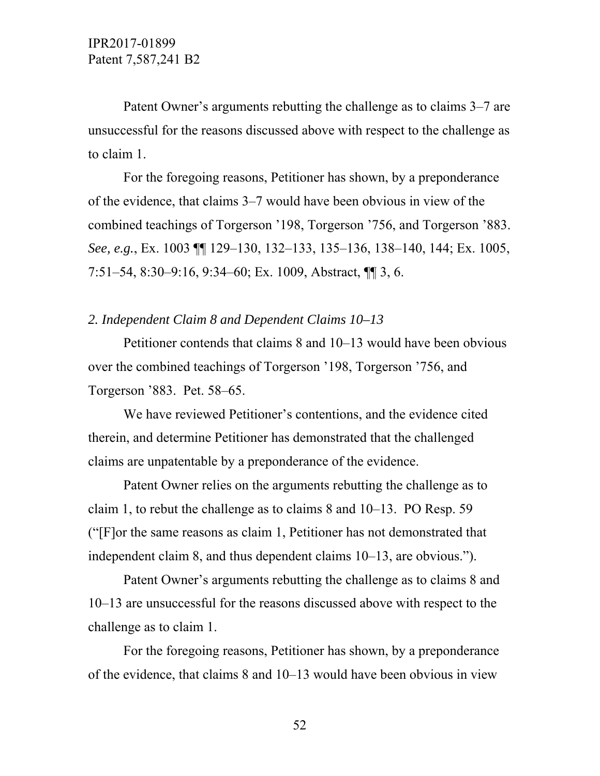Patent Owner's arguments rebutting the challenge as to claims 3–7 are unsuccessful for the reasons discussed above with respect to the challenge as to claim 1.

 For the foregoing reasons, Petitioner has shown, by a preponderance of the evidence, that claims 3–7 would have been obvious in view of the combined teachings of Torgerson '198, Torgerson '756, and Torgerson '883. *See, e.g.*, Ex. 1003 ¶¶ 129–130, 132–133, 135–136, 138–140, 144; Ex. 1005, 7:51–54, 8:30–9:16, 9:34–60; Ex. 1009, Abstract, ¶¶ 3, 6.

### *2. Independent Claim 8 and Dependent Claims 10–13*

Petitioner contends that claims 8 and 10–13 would have been obvious over the combined teachings of Torgerson '198, Torgerson '756, and Torgerson '883. Pet. 58–65.

We have reviewed Petitioner's contentions, and the evidence cited therein, and determine Petitioner has demonstrated that the challenged claims are unpatentable by a preponderance of the evidence.

 Patent Owner relies on the arguments rebutting the challenge as to claim 1, to rebut the challenge as to claims 8 and 10–13. PO Resp. 59 ("[F]or the same reasons as claim 1, Petitioner has not demonstrated that independent claim 8, and thus dependent claims 10–13, are obvious.").

 Patent Owner's arguments rebutting the challenge as to claims 8 and 10–13 are unsuccessful for the reasons discussed above with respect to the challenge as to claim 1.

 For the foregoing reasons, Petitioner has shown, by a preponderance of the evidence, that claims 8 and 10–13 would have been obvious in view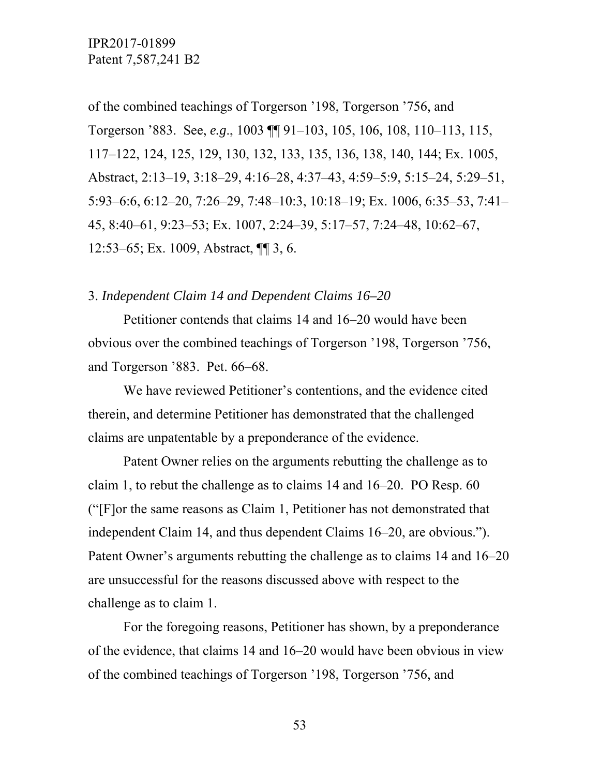of the combined teachings of Torgerson '198, Torgerson '756, and Torgerson '883. See, *e.g*., 1003 ¶¶ 91–103, 105, 106, 108, 110–113, 115, 117–122, 124, 125, 129, 130, 132, 133, 135, 136, 138, 140, 144; Ex. 1005, Abstract, 2:13–19, 3:18–29, 4:16–28, 4:37–43, 4:59–5:9, 5:15–24, 5:29–51, 5:93–6:6, 6:12–20, 7:26–29, 7:48–10:3, 10:18–19; Ex. 1006, 6:35–53, 7:41– 45, 8:40–61, 9:23–53; Ex. 1007, 2:24–39, 5:17–57, 7:24–48, 10:62–67, 12:53–65; Ex. 1009, Abstract, ¶¶ 3, 6.

#### 3. *Independent Claim 14 and Dependent Claims 16–20*

Petitioner contends that claims 14 and 16–20 would have been obvious over the combined teachings of Torgerson '198, Torgerson '756, and Torgerson '883. Pet. 66–68.

We have reviewed Petitioner's contentions, and the evidence cited therein, and determine Petitioner has demonstrated that the challenged claims are unpatentable by a preponderance of the evidence.

 Patent Owner relies on the arguments rebutting the challenge as to claim 1, to rebut the challenge as to claims 14 and 16–20. PO Resp. 60 ("[F]or the same reasons as Claim 1, Petitioner has not demonstrated that independent Claim 14, and thus dependent Claims 16–20, are obvious."). Patent Owner's arguments rebutting the challenge as to claims 14 and 16–20 are unsuccessful for the reasons discussed above with respect to the challenge as to claim 1.

 For the foregoing reasons, Petitioner has shown, by a preponderance of the evidence, that claims 14 and 16–20 would have been obvious in view of the combined teachings of Torgerson '198, Torgerson '756, and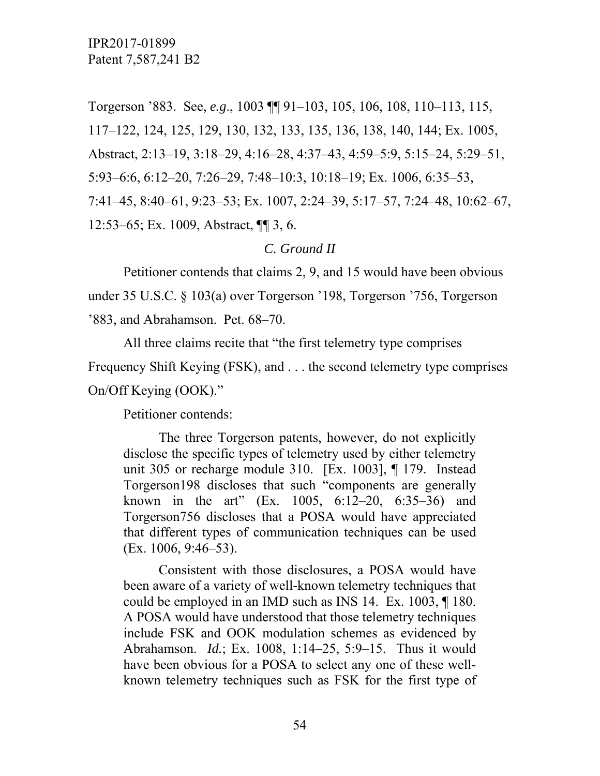Torgerson '883. See, *e.g*., 1003 ¶¶ 91–103, 105, 106, 108, 110–113, 115, 117–122, 124, 125, 129, 130, 132, 133, 135, 136, 138, 140, 144; Ex. 1005, Abstract, 2:13–19, 3:18–29, 4:16–28, 4:37–43, 4:59–5:9, 5:15–24, 5:29–51, 5:93–6:6, 6:12–20, 7:26–29, 7:48–10:3, 10:18–19; Ex. 1006, 6:35–53, 7:41–45, 8:40–61, 9:23–53; Ex. 1007, 2:24–39, 5:17–57, 7:24–48, 10:62–67, 12:53–65; Ex. 1009, Abstract, ¶¶ 3, 6.

### *C. Ground II*

 Petitioner contends that claims 2, 9, and 15 would have been obvious under 35 U.S.C. § 103(a) over Torgerson '198, Torgerson '756, Torgerson '883, and Abrahamson. Pet. 68–70.

 All three claims recite that "the first telemetry type comprises Frequency Shift Keying (FSK), and . . . the second telemetry type comprises On/Off Keying (OOK)."

Petitioner contends:

 The three Torgerson patents, however, do not explicitly disclose the specific types of telemetry used by either telemetry unit 305 or recharge module 310. [Ex. 1003], ¶ 179. Instead Torgerson198 discloses that such "components are generally known in the art" (Ex. 1005, 6:12–20, 6:35–36) and Torgerson756 discloses that a POSA would have appreciated that different types of communication techniques can be used (Ex. 1006, 9:46–53).

 Consistent with those disclosures, a POSA would have been aware of a variety of well-known telemetry techniques that could be employed in an IMD such as INS 14. Ex. 1003, ¶ 180. A POSA would have understood that those telemetry techniques include FSK and OOK modulation schemes as evidenced by Abrahamson. *Id.*; Ex. 1008, 1:14–25, 5:9–15. Thus it would have been obvious for a POSA to select any one of these wellknown telemetry techniques such as FSK for the first type of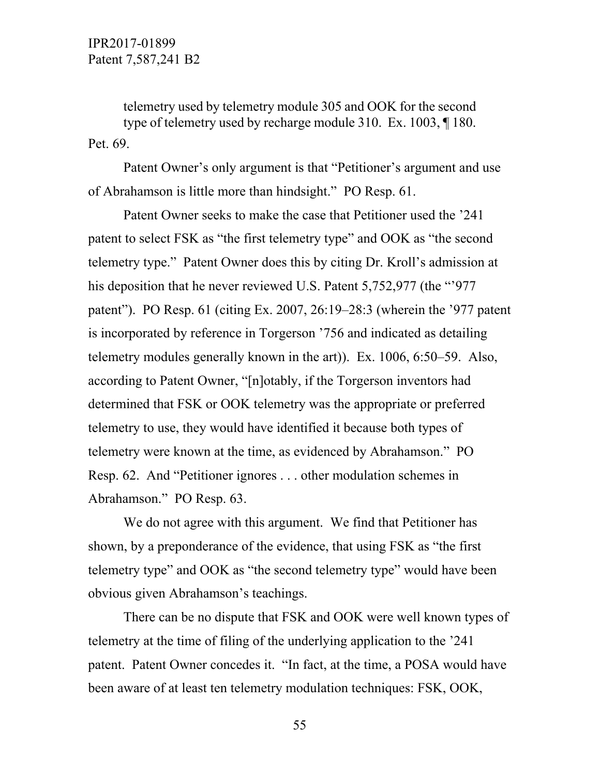telemetry used by telemetry module 305 and OOK for the second type of telemetry used by recharge module 310. Ex. 1003, ¶ 180. Pet. 69.

 Patent Owner's only argument is that "Petitioner's argument and use of Abrahamson is little more than hindsight." PO Resp. 61.

 Patent Owner seeks to make the case that Petitioner used the '241 patent to select FSK as "the first telemetry type" and OOK as "the second telemetry type." Patent Owner does this by citing Dr. Kroll's admission at his deposition that he never reviewed U.S. Patent 5,752,977 (the "'977 patent"). PO Resp. 61 (citing Ex. 2007, 26:19–28:3 (wherein the '977 patent is incorporated by reference in Torgerson '756 and indicated as detailing telemetry modules generally known in the art)). Ex. 1006, 6:50–59. Also, according to Patent Owner, "[n]otably, if the Torgerson inventors had determined that FSK or OOK telemetry was the appropriate or preferred telemetry to use, they would have identified it because both types of telemetry were known at the time, as evidenced by Abrahamson." PO Resp. 62. And "Petitioner ignores . . . other modulation schemes in Abrahamson." PO Resp. 63.

We do not agree with this argument. We find that Petitioner has shown, by a preponderance of the evidence, that using FSK as "the first telemetry type" and OOK as "the second telemetry type" would have been obvious given Abrahamson's teachings.

 There can be no dispute that FSK and OOK were well known types of telemetry at the time of filing of the underlying application to the '241 patent. Patent Owner concedes it. "In fact, at the time, a POSA would have been aware of at least ten telemetry modulation techniques: FSK, OOK,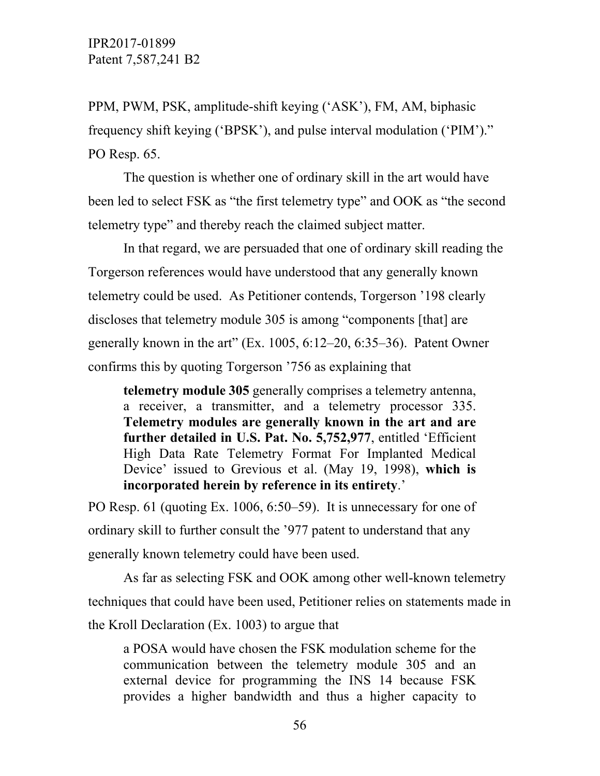PPM, PWM, PSK, amplitude-shift keying ('ASK'), FM, AM, biphasic frequency shift keying ('BPSK'), and pulse interval modulation ('PIM')." PO Resp. 65.

 The question is whether one of ordinary skill in the art would have been led to select FSK as "the first telemetry type" and OOK as "the second telemetry type" and thereby reach the claimed subject matter.

 In that regard, we are persuaded that one of ordinary skill reading the Torgerson references would have understood that any generally known telemetry could be used. As Petitioner contends, Torgerson '198 clearly discloses that telemetry module 305 is among "components [that] are generally known in the art" (Ex. 1005, 6:12–20, 6:35–36). Patent Owner confirms this by quoting Torgerson '756 as explaining that

**telemetry module 305** generally comprises a telemetry antenna, a receiver, a transmitter, and a telemetry processor 335. **Telemetry modules are generally known in the art and are further detailed in U.S. Pat. No. 5,752,977**, entitled 'Efficient High Data Rate Telemetry Format For Implanted Medical Device' issued to Grevious et al. (May 19, 1998), **which is incorporated herein by reference in its entirety**.'

PO Resp. 61 (quoting Ex. 1006, 6:50–59). It is unnecessary for one of ordinary skill to further consult the '977 patent to understand that any generally known telemetry could have been used.

 As far as selecting FSK and OOK among other well-known telemetry techniques that could have been used, Petitioner relies on statements made in the Kroll Declaration (Ex. 1003) to argue that

a POSA would have chosen the FSK modulation scheme for the communication between the telemetry module 305 and an external device for programming the INS 14 because FSK provides a higher bandwidth and thus a higher capacity to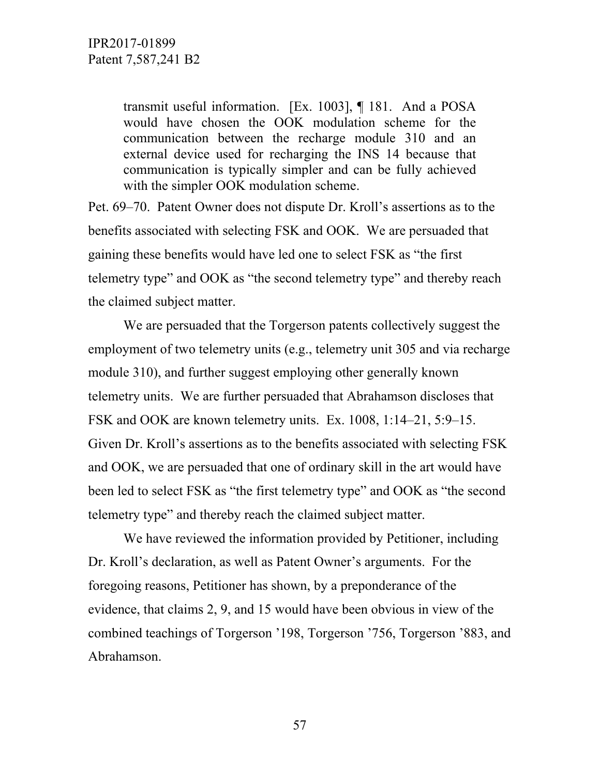transmit useful information. [Ex. 1003], ¶ 181. And a POSA would have chosen the OOK modulation scheme for the communication between the recharge module 310 and an external device used for recharging the INS 14 because that communication is typically simpler and can be fully achieved with the simpler OOK modulation scheme.

Pet. 69–70. Patent Owner does not dispute Dr. Kroll's assertions as to the benefits associated with selecting FSK and OOK. We are persuaded that gaining these benefits would have led one to select FSK as "the first telemetry type" and OOK as "the second telemetry type" and thereby reach the claimed subject matter.

 We are persuaded that the Torgerson patents collectively suggest the employment of two telemetry units (e.g., telemetry unit 305 and via recharge module 310), and further suggest employing other generally known telemetry units. We are further persuaded that Abrahamson discloses that FSK and OOK are known telemetry units. Ex. 1008, 1:14–21, 5:9–15. Given Dr. Kroll's assertions as to the benefits associated with selecting FSK and OOK, we are persuaded that one of ordinary skill in the art would have been led to select FSK as "the first telemetry type" and OOK as "the second telemetry type" and thereby reach the claimed subject matter.

 We have reviewed the information provided by Petitioner, including Dr. Kroll's declaration, as well as Patent Owner's arguments. For the foregoing reasons, Petitioner has shown, by a preponderance of the evidence, that claims 2, 9, and 15 would have been obvious in view of the combined teachings of Torgerson '198, Torgerson '756, Torgerson '883, and Abrahamson.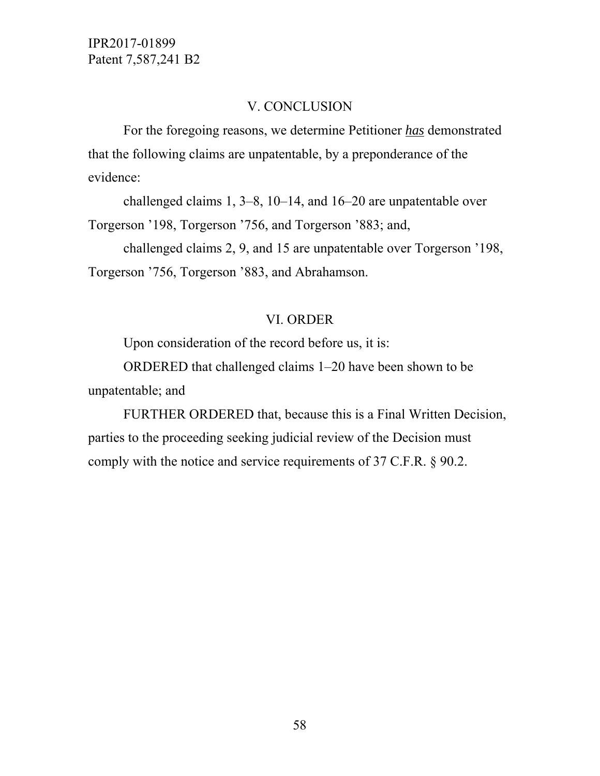#### V. CONCLUSION

 For the foregoing reasons, we determine Petitioner *has* demonstrated that the following claims are unpatentable, by a preponderance of the evidence:

 challenged claims 1, 3–8, 10–14, and 16–20 are unpatentable over Torgerson '198, Torgerson '756, and Torgerson '883; and,

challenged claims 2, 9, and 15 are unpatentable over Torgerson '198, Torgerson '756, Torgerson '883, and Abrahamson.

### VI. ORDER

Upon consideration of the record before us, it is:

 ORDERED that challenged claims 1–20 have been shown to be unpatentable; and

 FURTHER ORDERED that, because this is a Final Written Decision, parties to the proceeding seeking judicial review of the Decision must comply with the notice and service requirements of 37 C.F.R. § 90.2.